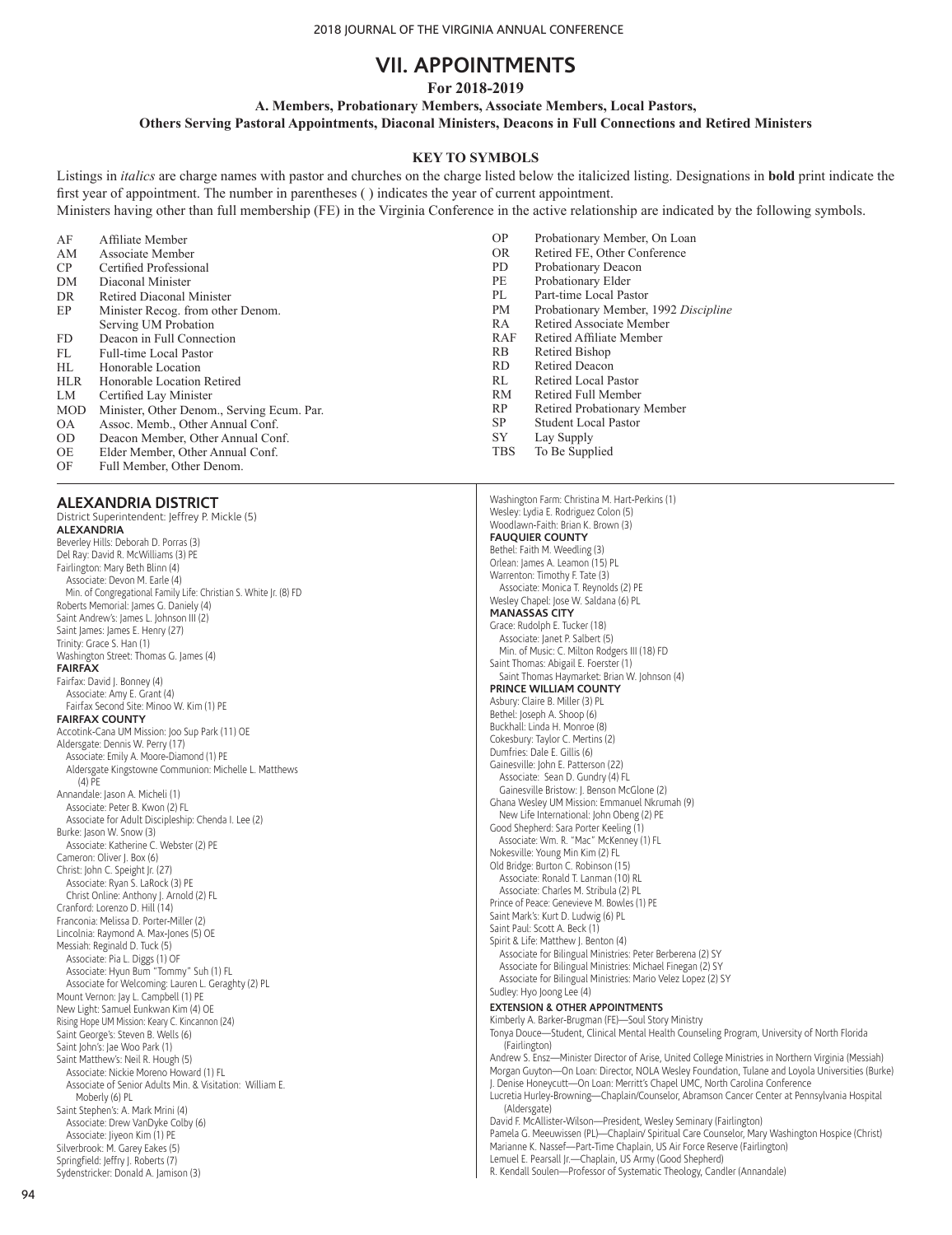# **VII. APPOINTMENTS**

**For 2018-2019**

**A. Members, Probationary Members, Associate Members, Local Pastors,** 

**Others Serving Pastoral Appointments, Diaconal Ministers, Deacons in Full Connections and Retired Ministers**

## **KEY TO SYMBOLS**

Listings in *italics* are charge names with pastor and churches on the charge listed below the italicized listing. Designations in **bold** print indicate the first year of appointment. The number in parentheses ( ) indicates the year of current appointment.

Ministers having other than full membership (FE) in the Virginia Conference in the active relationship are indicated by the following symbols.

| AF         | Affiliate Member                           | OP.        | Probationary Member, On Loan         |
|------------|--------------------------------------------|------------|--------------------------------------|
| AM         | Associate Member                           | OR.        | Retired FE, Other Conference         |
| CP.        | Certified Professional                     | PD.        | Probationary Deacon                  |
| DM         | Diaconal Minister                          | PE         | Probationary Elder                   |
| DR         | Retired Diaconal Minister                  | PL         | Part-time Local Pastor               |
| EP         | Minister Recog. from other Denom.          | PМ         | Probationary Member, 1992 Discipline |
|            | Serving UM Probation                       | RA         | Retired Associate Member             |
| FD.        | Deacon in Full Connection                  | RAF        | Retired Affiliate Member             |
| FL         | Full-time Local Pastor                     | <b>RB</b>  | Retired Bishop                       |
| HL.        | Honorable Location                         | RD.        | <b>Retired Deacon</b>                |
| <b>HLR</b> | Honorable Location Retired                 | RL.        | Retired Local Pastor                 |
| LM         | Certified Lay Minister                     | <b>RM</b>  | Retired Full Member                  |
| <b>MOD</b> | Minister, Other Denom., Serving Ecum. Par. | RP         | Retired Probationary Member          |
| <b>OA</b>  | Assoc. Memb., Other Annual Conf.           | SP.        | <b>Student Local Pastor</b>          |
| OD.        | Deacon Member, Other Annual Conf.          | SY         | Lay Supply                           |
| OE         | Elder Member, Other Annual Conf.           | <b>TBS</b> | To Be Supplied                       |

OE Elder Member, Other Annual Conf.<br>OF Full Member. Other Denom. Full Member, Other Denom.

## **ALEXANDRIA DISTRICT**

District Superintendent: Jeffrey P. Mickle (5) **ALEXANDRIA** Beverley Hills: Deborah D. Porras (3) Del Ray: David R. McWilliams (3) PE Fairlington: Mary Beth Blinn (4) Associate: Devon M. Earle (4) Min. of Congregational Family Life: Christian S. White Jr. (8) FD Roberts Memorial: James G. Daniely (4) Saint Andrew's: James L. Johnson III (2) Saint James: James E. Henry (27) Trinity: Grace S. Han (1) Washington Street: Thomas G. James (4) **FAIRFAX** Fairfax: David J. Bonney (4) Associate: Amy E. Grant (4) Fairfax Second Site: Minoo W. Kim (1) PE **FAIRFAX COUNTY** Accotink-Cana UM Mission: Joo Sup Park (11) OE Aldersgate: Dennis W. Perry (17) Associate: Emily A. Moore-Diamond (1) PE Aldersgate Kingstowne Communion: Michelle L. Matthews  $(4)$  PE Annandale: Jason A. Micheli (1) Associate: Peter B. Kwon (2) FL Associate for Adult Discipleship: Chenda I. Lee (2) Burke: Jason W. Snow (3) Associate: Katherine C. Webster (2) PE Cameron: Oliver J. Box (6) Christ: John C. Speight Jr. (27) Associate: Ryan S. LaRock (3) PE Christ Online: Anthony J. Arnold (2) FL Cranford: Lorenzo D. Hill (14) Franconia: Melissa D. Porter-Miller (2) Lincolnia: Raymond A. Max-Jones (5) OE Messiah: Reginald D. Tuck (5) Associate: Pia L. Diggs (1) OF Associate: Hyun Bum "Tommy" Suh (1) FL Associate for Welcoming: Lauren L. Geraghty (2) PL Mount Vernon: Jay L. Campbell (1) PE New Light: Samuel Eunkwan Kim (4) OE Rising Hope UM Mission: Keary C. Kincannon (24) Saint George's: Steven B. Wells (6) Saint John's: Jae Woo Park (1) Saint Matthew's: Neil R. Hough (5) Associate: Nickie Moreno Howard (1) FL Associate of Senior Adults Min. & Visitation: William E. Moberly (6) PL Saint Stephen's: A. Mark Mrini (4) Associate: Drew VanDyke Colby (6) Associate: Jiyeon Kim (1) PE Silverbrook: M. Garey Eakes (5) Springfield: Jeffry J. Roberts (7) Sydenstricker: Donald A. Jamison (3)

Washington Farm: Christina M. Hart-Perkins (1) Wesley: Lydia E. Rodriguez Colon (5) Woodlawn-Faith: Brian K. Brown (3) **FAUQUIER COUNTY** Bethel: Faith M. Weedling (3) Orlean: James A. Leamon (15) PL Warrenton: Timothy F. Tate (3) Associate: Monica T. Reynolds (2) PE Wesley Chapel: Jose W. Saldana (6) PL **MANASSAS CITY** Grace: Rudolph E. Tucker (18) Associate: Janet P. Salbert (5) Min. of Music: C. Milton Rodgers III (18) FD Saint Thomas: Abigail E. Foerster (1) Saint Thomas Haymarket: Brian W. Johnson (4) **PRINCE WILLIAM COUNTY** Asbury: Claire B. Miller (3) PL Bethel: Joseph A. Shoop (6) Buckhall: Linda H. Monroe (8) Cokesbury: Taylor C. Mertins (2) Dumfries: Dale E. Gillis (6) Gainesville: John E. Patterson (22) Associate: Sean D. Gundry (4) FL Gainesville Bristow: J. Benson McGlone (2) Ghana Wesley UM Mission: Emmanuel Nkrumah (9) New Life International: John Obeng (2) PE Good Shepherd: Sara Porter Keeling (1) Associate: Wm. R. "Mac" McKenney (1) FL Nokesville: Young Min Kim (2) FL Old Bridge: Burton C. Robinson (15) Associate: Ronald T. Lanman (10) RL Associate: Charles M. Stribula (2) PL Prince of Peace: Genevieve M. Bowles (1) PE Saint Mark's: Kurt D. Ludwig (6) PL Saint Paul: Scott A. Beck (1) Spirit & Life: Matthew J. Benton (4) Associate for Bilingual Ministries: Peter Berberena (2) SY Associate for Bilingual Ministries: Michael Finegan (2) SY Associate for Bilingual Ministries: Mario Velez Lopez (2) SY Sudley: Hyo Joong Lee (4) **EXTENSION & OTHER APPOINTMENTS** Kimberly A. Barker-Brugman (FE)—Soul Story Ministry Tonya Douce—Student, Clinical Mental Health Counseling Program, University of North Florida (Fairlington) Andrew S. Ensz—Minister Director of Arise, United College Ministries in Northern Virginia (Messiah) Morgan Guyton—On Loan: Director, NOLA Wesley Foundation, Tulane and Loyola Universities (Burke) J. Denise Honeycutt—On Loan: Merritt's Chapel UMC, North Carolina Conference Lucretia Hurley-Browning—Chaplain/Counselor, Abramson Cancer Center at Pennsylvania Hospital (Aldersgate) David F. McAllister-Wilson—President, Wesley Seminary (Fairlington) Pamela G. Meeuwissen (PL)—Chaplain/ Spiritual Care Counselor, Mary Washington Hospice (Christ) Marianne K. Nassef—Part-Time Chaplain, US Air Force Reserve (Fairlington) Lemuel E. Pearsall Jr.—Chaplain, US Army (Good Shepherd) R. Kendall Soulen—Professor of Systematic Theology, Candler (Annandale)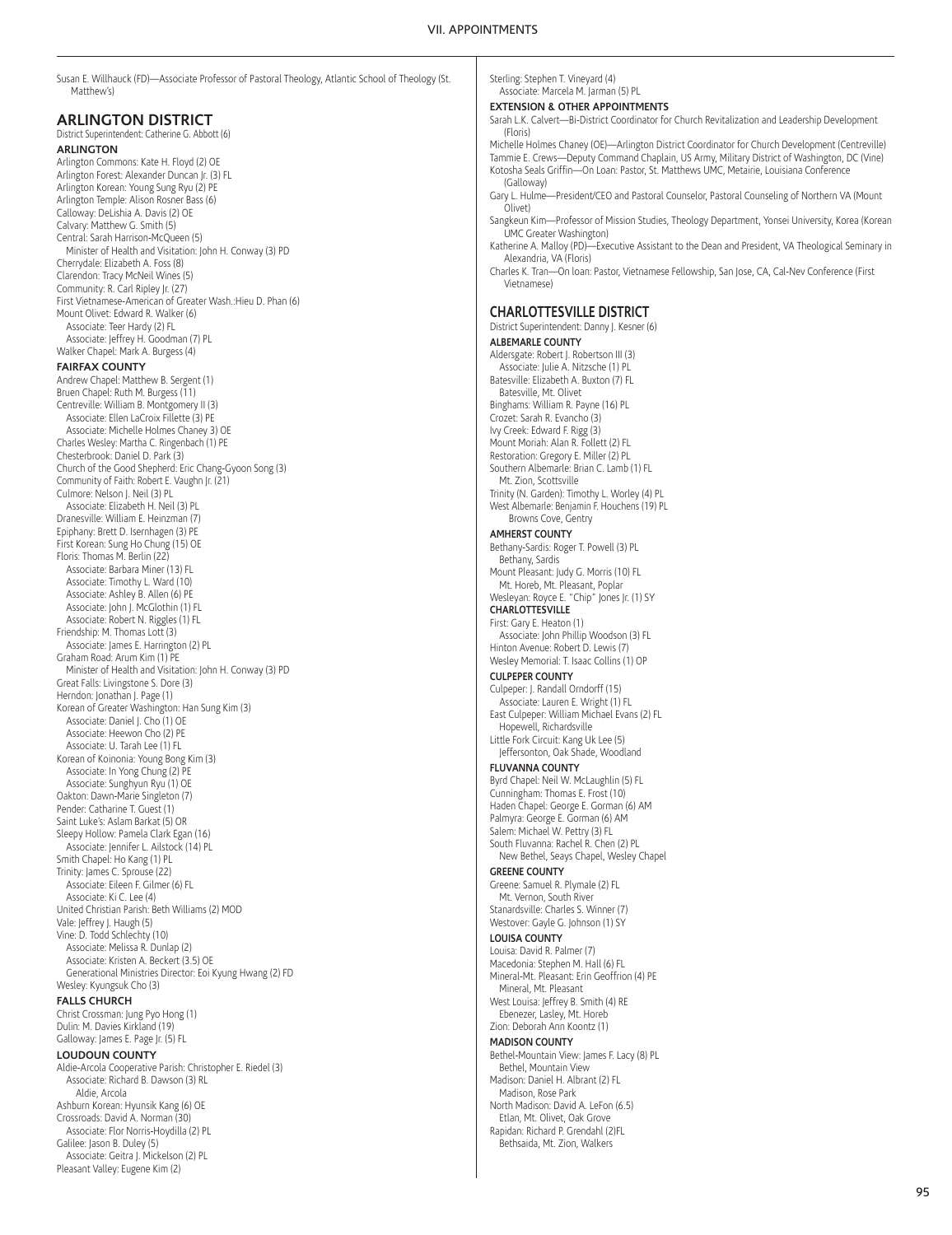| Susan E. Willhauck (FD)—Associate Professor of Pastoral Theology, Atlantic School of Theology (St.<br>Matthew's) |
|------------------------------------------------------------------------------------------------------------------|
| <b>ARLINGTON DISTRICT</b>                                                                                        |
| District Superintendent: Catherine G. Abbott (6)                                                                 |
| <b>ARLINGTON</b>                                                                                                 |
| Arlington Commons: Kate H. Floyd (2) OE                                                                          |
| Arlington Forest: Alexander Duncan Jr. (3) FL                                                                    |
| Arlington Korean: Young Sung Ryu (2) PE                                                                          |
| Arlington Temple: Alison Rosner Bass (6)                                                                         |
| Calloway: DeLishia A. Davis (2) OE                                                                               |
| Calvary: Matthew G. Smith (5)<br>Central: Sarah Harrison-McQueen (5)                                             |
| Minister of Health and Visitation: John H. Conway (3) PD                                                         |
| Cherrydale: Elizabeth A. Foss (8)                                                                                |
| Clarendon: Tracy McNeil Wines (5)                                                                                |
| Community: R. Carl Ripley Jr. (27)                                                                               |
| First Vietnamese-American of Greater Wash.: Hieu D. Phan (6)                                                     |
| Mount Olivet: Edward R. Walker (6)                                                                               |
| Associate: Teer Hardy (2) FL                                                                                     |
| Associate: Jeffrey H. Goodman (7) PL                                                                             |
| Walker Chapel: Mark A. Burgess (4)                                                                               |
| <b>FAIRFAX COUNTY</b>                                                                                            |
| Andrew Chapel: Matthew B. Sergent (1)                                                                            |
| Bruen Chapel: Ruth M. Burgess (11)                                                                               |
| Centreville: William B. Montgomery II (3)                                                                        |
| Associate: Ellen LaCroix Fillette (3) PE                                                                         |
| Associate: Michelle Holmes Chaney 3) OE                                                                          |
| Charles Wesley: Martha C. Ringenbach (1) PE                                                                      |
| Chesterbrook: Daniel D. Park (3)                                                                                 |
| Church of the Good Shepherd: Eric Chang-Gyoon Song (3)                                                           |
| Community of Faith: Robert E. Vaughn Jr. (21)                                                                    |
| Culmore: Nelson J. Neil (3) PL                                                                                   |
| Associate: Elizabeth H. Neil (3) PL                                                                              |
| Dranesville: William E. Heinzman (7)<br>Epiphany: Brett D. Isernhagen (3) PE                                     |
| First Korean: Sung Ho Chung (15) OE                                                                              |
| Floris: Thomas M. Berlin (22)                                                                                    |
| Associate: Barbara Miner (13) FL                                                                                 |
| Associate: Timothy L. Ward (10)                                                                                  |
| Associate: Ashley B. Allen (6) PE                                                                                |
| Associate: John J. McGlothin (1) FL                                                                              |
| Associate: Robert N. Riggles (1) FL                                                                              |
| Friendship: M. Thomas Lott (3)                                                                                   |
| Associate: James E. Harrington (2) PL                                                                            |
| Graham Road: Arum Kim (1) PE                                                                                     |
| Minister of Health and Visitation: John H. Conway (3) PD                                                         |
| Great Falls: Livingstone S. Dore (3)                                                                             |
| Herndon: Jonathan J. Page (1)<br>Korean of Greater Washington: Han Sung Kim (3)                                  |
| Associate: Daniel J. Cho (1) OE                                                                                  |
| Associate: Heewon Cho (2) PE                                                                                     |
| Associate: U. Tarah Lee (1) FL                                                                                   |
| Korean of Koinonia: Young Bong Kim (3)                                                                           |
| Associate: In Yong Chung (2) PE                                                                                  |
| Associate: Sunghyun Ryu (1) OE                                                                                   |
| Oakton: Dawn-Marie Singleton (7)                                                                                 |
| Pender: Catharine T. Guest (1)                                                                                   |
| Saint Luke's: Aslam Barkat (5) OR                                                                                |
| Sleepy Hollow: Pamela Clark Egan (16)                                                                            |
| Associate: Jennifer L. Ailstock (14) PL                                                                          |
| Smith Chapel: Ho Kang (1) PL                                                                                     |
| Trinity: James C. Sprouse (22)                                                                                   |
| Associate: Eileen F. Gilmer (6) FL                                                                               |
| Associate: Ki C. Lee (4)                                                                                         |
| United Christian Parish: Beth Williams (2) MOD                                                                   |
| Vale: Jeffrey J. Haugh (5)                                                                                       |
| Vine: D. Todd Schlechty (10)<br>Associate: Melissa R. Dunlap (2)                                                 |
| Associate: Kristen A. Beckert (3.5) OE                                                                           |
| Generational Ministries Director: Eoi Kyung Hwang (2) FD                                                         |
| Wesley: Kyungsuk Cho (3)                                                                                         |
| <b>FALLS CHURCH</b>                                                                                              |
| Christ Crossman: Jung Pyo Hong (1)                                                                               |
| Dulin: M. Davies Kirkland (19)                                                                                   |
| Galloway: James E. Page Jr. (5) FL                                                                               |
| <b>LOUDOUN COUNTY</b>                                                                                            |
| Aldie-Arcola Cooperative Parish: Christopher E. Riedel (3)                                                       |
| Associate: Richard B. Dawson (3) RL                                                                              |
| Aldie, Arcola                                                                                                    |
| Ashburn Korean: Hyunsik Kang (6) OE                                                                              |
| Crossroads: David A. Norman (30)                                                                                 |

Associate: Flor Norris-Hoydilla (2) PL

Galilee: Jason B. Duley (5) Associate: Geitra J. Mickelson (2) PL Pleasant Valley: Eugene Kim (2)

Sterling: Stephen T. Vineyard (4) Associate: Marcela M. Jarman (5) PL

#### **EXTENSION & OTHER APPOINTMENTS**

Sarah L.K. Calvert—Bi-District Coordinator for Church Revitalization and Leadership Development (Floris)

Michelle Holmes Chaney (OE)—Arlington District Coordinator for Church Development (Centreville) Tammie E. Crews—Deputy Command Chaplain, US Army, Military District of Washington, DC (Vine) Kotosha Seals Griffin—On Loan: Pastor, St. Matthews UMC, Metairie, Louisiana Conference (Galloway)

Gary L. Hulme—President/CEO and Pastoral Counselor, Pastoral Counseling of Northern VA (Mount Olivet)

Sangkeun Kim—Professor of Mission Studies, Theology Department, Yonsei University, Korea (Korean UMC Greater Washington)

Katherine A. Malloy (PD)—Executive Assistant to the Dean and President, VA Theological Seminary in Alexandria, VA (Floris)

Charles K. Tran—On loan: Pastor, Vietnamese Fellowship, San Jose, CA, Cal-Nev Conference (First Vietnamese)

#### **CHARLOTTESVILLE DISTRICT**

District Superintendent: Danny J. Kesner (6)

**ALBEMARLE COUNTY** Aldersgate: Robert J. Robertson III (3) Associate: Julie A. Nitzsche (1) PL Batesville: Elizabeth A. Buxton (7) FL Batesville, Mt. Olivet Binghams: William R. Payne (16) PL Crozet: Sarah R. Evancho (3) Ivy Creek: Edward F. Rigg (3) Mount Moriah: Alan R. Follett (2) FL Restoration: Gregory E. Miller (2) PL Southern Albemarle: Brian C. Lamb (1) FL Mt. Zion, Scottsville Trinity (N. Garden): Timothy L. Worley (4) PL West Albemarle: Benjamin F. Houchens (19) PL Browns Cove, Gentry **AMHERST COUNTY** Bethany-Sardis: Roger T. Powell (3) PL Bethany, Sardis Mount Pleasant: Judy G. Morris (10) FL Mt. Horeb, Mt. Pleasant, Poplar Wesleyan: Royce E. "Chip" Jones Jr. (1) SY **CHARLOTTESVILLE** First: Gary E. Heaton (1) Associate: John Phillip Woodson (3) FL Hinton Avenue: Robert D. Lewis (7) Wesley Memorial: T. Isaac Collins (1) OP **CULPEPER COUNTY** Culpeper: J. Randall Orndorff (15) Associate: Lauren E. Wright (1) FL East Culpeper: William Michael Evans (2) FL Hopewell, Richardsville Little Fork Circuit: Kang Uk Lee (5) Jeffersonton, Oak Shade, Woodland **FLUVANNA COUNTY** Byrd Chapel: Neil W. McLaughlin (5) FL Cunningham: Thomas E. Frost (10) Haden Chapel: George E. Gorman (6) AM Palmyra: George E. Gorman (6) AM Salem: Michael W. Pettry (3) FL South Fluvanna: Rachel R. Chen (2) PL New Bethel, Seays Chapel, Wesley Chapel **GREENE COUNTY** Greene: Samuel R. Plymale (2) FL Mt. Vernon, South River Stanardsville: Charles S. Winner (7) Westover: Gayle G. Johnson (1) SY **LOUISA COUNTY** Louisa: David R. Palmer (7) Macedonia: Stephen M. Hall (6) FL Mineral-Mt. Pleasant: Erin Geoffrion (4) PE

Mineral, Mt. Pleasant West Louisa: Jeffrey B. Smith (4) RE Ebenezer, Lasley, Mt. Horeb

#### Zion: Deborah Ann Koontz (1) **MADISON COUNTY**

- Bethel-Mountain View: James F. Lacy (8) PL Bethel, Mountain View
- Madison: Daniel H. Albrant (2) FL Madison, Rose Park
- North Madison: David A. LeFon (6.5) Etlan, Mt. Olivet, Oak Grove
- Rapidan: Richard P. Grendahl (2)FL Bethsaida, Mt. Zion, Walkers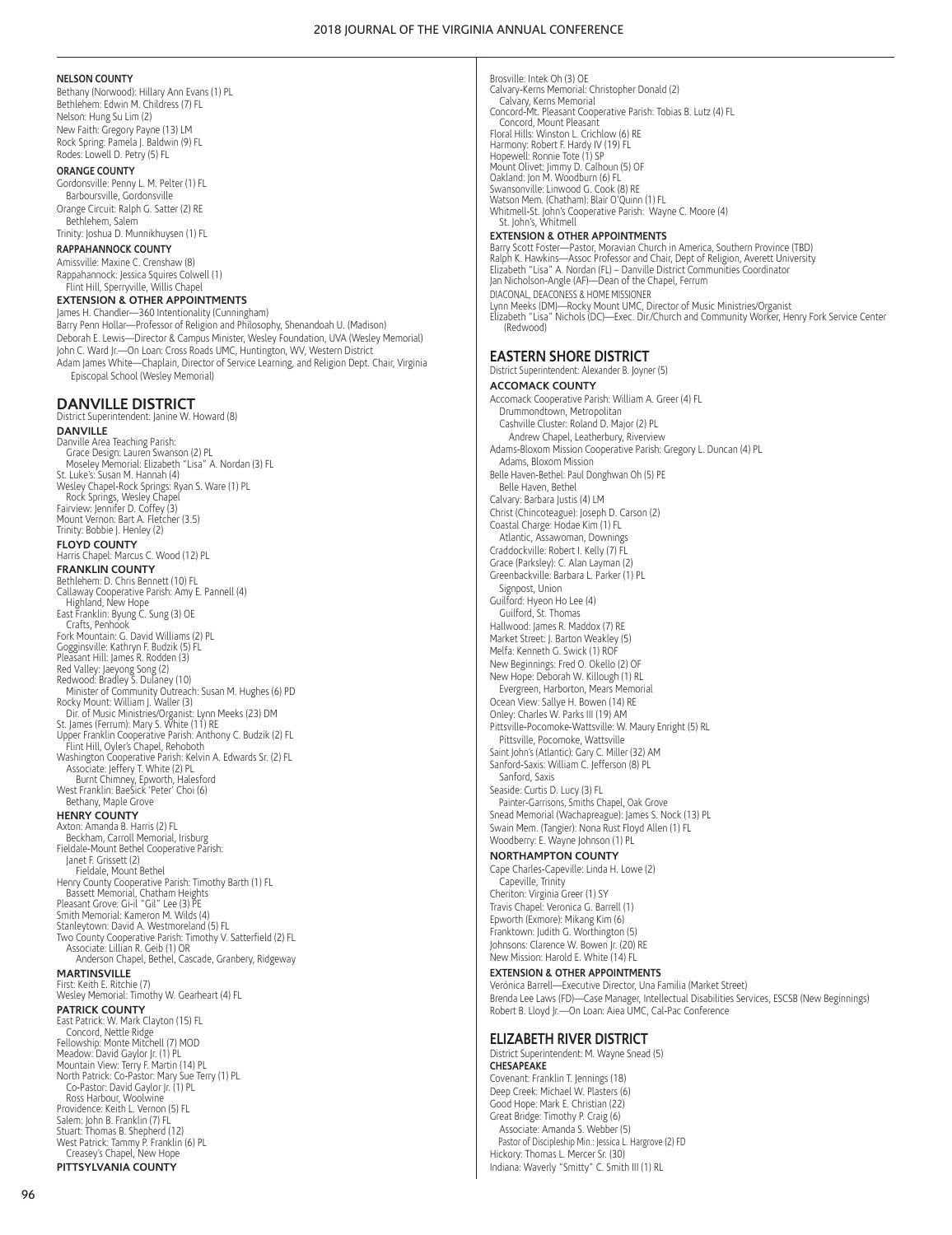#### **NELSON COUNTY**

Bethany (Norwood): Hillary Ann Evans (1) PL Bethlehem: Edwin M. Childress (7) FL Nelson: Hung Su Lim (2) New Faith: Gregory Payne (13) LM Rock Spring: Pamela J. Baldwin (9) FL Rodes: Lowell D. Petry (5) FL

#### **ORANGE COUNTY**

Gordonsville: Penny L. M. Pelter (1) FL Barboursville, Gordonsville Orange Circuit: Ralph G. Satter (2) RE Bethlehem, Salem

#### Trinity: Joshua D. Munnikhuysen (1) FL

**RAPPAHANNOCK COUNTY**

#### Amissville: Maxine C. Crenshaw (8) Rappahannock: Jessica Squires Colwell (1) Flint Hill, Sperryville, Willis Chapel

**EXTENSION & OTHER APPOINTMENTS**

James H. Chandler—360 Intentionality (Cunningham) Barry Penn Hollar—Professor of Religion and Philosophy, Shenandoah U. (Madison) Deborah E. Lewis—Director & Campus Minister, Wesley Foundation, UVA (Wesley Memorial) John C. Ward Jr.—On Loan: Cross Roads UMC, Huntington, WV, Western District Adam James White—Chaplain, Director of Service Learning, and Religion Dept. Chair, Virginia Episcopal School (Wesley Memorial)

## **DANVILLE DISTRICT**

District Superintendent: Janine W. Howard (8) **DANVILLE** Danville Area Teaching Parish: Grace Design: Lauren Swanson (2) PL Moseley Memorial: Elizabeth "Lisa" A. Nordan (3) FL St. Luke's: Susan M. Hannah (4) Wesley Chapel-Rock Springs: Ryan S. Ware (1) PL Rock Springs, Wesley Chapel Fairview: Jennifer D. Coffey (3) Mount Vernon: Bart A. Fletcher (3.5) Trinity: Bobbie J. Henley (2) **FLOYD COUNTY** Harris Chapel: Marcus C. Wood (12) PL **FRANKLIN COUNTY** Bethlehem: D. Chris Bennett (10) FL Callaway Cooperative Parish: Amy E. Pannell (4) Highland, New Hope East Franklin: Byung C. Sung (3) OE Crafts, Penhook Fork Mountain: G. David Williams (2) PL Gogginsville: Kathryn F. Budzik (5) FL Pleasant Hill: James R. Rodden (3) Red Valley: Jaeyong Song (2)<br>Redwood: Bradley S. Dulaney (10)<br>- Minister of Community Outreach: Susan M. Hughes (6) PD<br>Rocky Mount: William J. Waller (3)<br>- Dir. of Music Ministries/Organist: Lynn Meeks (23) DM St. James (Ferrum): Mary S. White (11) RE Upper Franklin Cooperative Parish: Anthony C. Budzik (2) FL Flint Hill, Oyler's Chapel, Rehoboth Washington Cooperative Parish: Kelvin A. Edwards Sr. (2) FL Associate: Jeffery T. White (2) PL Burnt Chimney, Epworth, Halesford West Franklin: BaeSick 'Peter' Choi (6) Bethany, Maple Grove **HENRY COUNTY** Axton: Amanda B. Harris (2) FL Beckham, Carroll Memorial, Irisburg Fieldale-Mount Bethel Cooperative Parish: Janet F. Grissett (2) Fieldale, Mount Bethel Henry County Cooperative Parish: Timothy Barth (1) FL Bassett Memorial, Chatham Heights Pleasant Grove: Gi-il "Gil" Lee (3) PE Smith Memorial: Kameron M. Wilds (4) Stanleytown: David A. Westmoreland (5) FL Two County Cooperative Parish: Timothy V. Satterfield (2) FL Associate: Lillian R. Geib (1) OR Anderson Chapel, Bethel, Cascade, Granbery, Ridgeway **MARTINSVILLE** First: Keith E. Ritchie (7) Wesley Memorial: Timothy W. Gearheart (4) FL **PATRICK COUNTY** East Patrick: W. Mark Clayton (15) FL Concord, Nettle Ridge Fellowship: Monte Mitchell (7) MOD Meadow: David Gaylor Jr. (1) PL Mountain View: Terry F. Martin (14) PL North Patrick: Co-Pastor: Mary Sue Terry (1) PL Co-Pastor: David Gaylor Jr. (1) PL Ross Harbour, Woolwine Providence: Keith L. Vernon (5) FL Salem: John B. Franklin (7) FL Stuart: Thomas B. Shepherd (12) West Patrick: Tammy P. Franklin (6) PL Creasey's Chapel, New Hope

**PITTSYLVANIA COUNTY**

Brosville: Intek Oh (3) OE Calvary-Kerns Memorial: Christopher Donald (2) Calvary, Kerns Memorial Concord-Mt. Pleasant Cooperative Parish: Tobias B. Lutz (4) FL Concord, Mount Pleasant Floral Hills: Winston L. Crichlow (6) RE Harmony: Robert F. Hardy IV (19) FL Hopewell: Ronnie Tote (1) SP Mount Olivet: Jimmy D. Calhoun (5) OF Oakland: Jon M. Woodburn (6) FL Swansonville: Linwood G. Cook (8) RE Watson Mem. (Chatham): Blair O'Quinn (1) FL Whitmell-St. John's Cooperative Parish: Wayne C. Moore (4) St. John's, Whitmell **EXTENSION & OTHER APPOINTMENTS** Barry Scott Foster—Pastor, Moravian Church in America, Southern Province (TBD)

Ralph K. Hawkins—Assoc Professor and Chair, Dept of Religion, Averett University<br>Elizabeth "Lisa" A. Nordan (FL) – Danville District Communities Coordinator<br>Jan Nicholson-Angle (AF)—Dean of the Chapel, Ferrum DIACONAL, DEACONESS & HOME MISSIONER Lynn Meeks (DM)—Rocky Mount UMC, Director of Music Ministries/Organist Elizabeth "Lisa" Nichols (DC)—Exec. Dir./Church and Community Worker, Henry Fork Service Center (Redwood)

**EASTERN SHORE DISTRICT** District Superintendent: Alexander B. Joyner (5) **ACCOMACK COUNTY** Accomack Cooperative Parish: William A. Greer (4) FL Drummondtown, Metropolitan Cashville Cluster: Roland D. Major (2) PL Andrew Chapel, Leatherbury, Riverview Adams-Bloxom Mission Cooperative Parish: Gregory L. Duncan (4) PL Adams, Bloxom Mission Belle Haven-Bethel: Paul Donghwan Oh (5) PE Belle Haven, Bethel Calvary: Barbara Justis (4) LM Christ (Chincoteague): Joseph D. Carson (2) Coastal Charge: Hodae Kim (1) FL Atlantic, Assawoman, Downings Craddockville: Robert I. Kelly (7) FL Grace (Parksley): C. Alan Layman (2) Greenbackville: Barbara L. Parker (1) PL Signpost, Union Guilford: Hyeon Ho Lee (4) Guilford, St. Thomas Hallwood: James R. Maddox (7) RE Market Street: J. Barton Weakley (5) Melfa: Kenneth G. Swick (1) ROF New Beginnings: Fred O. Okello (2) OF New Hope: Deborah W. Killough (1) RL Evergreen, Harborton, Mears Memorial Ocean View: Sallye H. Bowen (14) RE Onley: Charles W. Parks III (19) AM Pittsville-Pocomoke-Wattsville: W. Maury Enright (5) RL Pittsville, Pocomoke, Wattsville Saint John's (Atlantic): Gary C. Miller (32) AM Sanford-Saxis: William C. Jefferson (8) PL Sanford, Saxis Seaside: Curtis D. Lucy (3) FL Painter-Garrisons, Smiths Chapel, Oak Grove Snead Memorial (Wachapreague): James S. Nock (13) PL Swain Mem. (Tangier): Nona Rust Floyd Allen (1) FL Woodberry: E. Wayne Johnson (1) PL **NORTHAMPTON COUNTY** Cape Charles-Capeville: Linda H. Lowe (2)

Capeville, Trinity Cheriton: Virginia Greer (1) SY Travis Chapel: Veronica G. Barrell (1) Epworth (Exmore): Mikang Kim (6) Franktown: Judith G. Worthington (5) Johnsons: Clarence W. Bowen Jr. (20) RE New Mission: Harold E. White (14) FL

## **EXTENSION & OTHER APPOINTMENTS**

Verónica Barrell—Executive Director, Una Familia (Market Street) Brenda Lee Laws (FD)—Case Manager, Intellectual Disabilities Services, ESCSB (New Beginnings) Robert B. Lloyd Jr.—On Loan: Aiea UMC, Cal-Pac Conference

#### **ELIZABETH RIVER DISTRICT**

District Superintendent: M. Wayne Snead (5) **CHESAPEAKE** Covenant: Franklin T. Jennings (18) Deep Creek: Michael W. Plasters (6) Good Hope: Mark E. Christian (22) Great Bridge: Timothy P. Craig (6) Associate: Amanda S. Webber (5) Pastor of Discipleship Min.: Jessica L. Hargrove (2) FD Hickory: Thomas L. Mercer Sr. (30) Indiana: Waverly "Smitty" C. Smith III (1) RL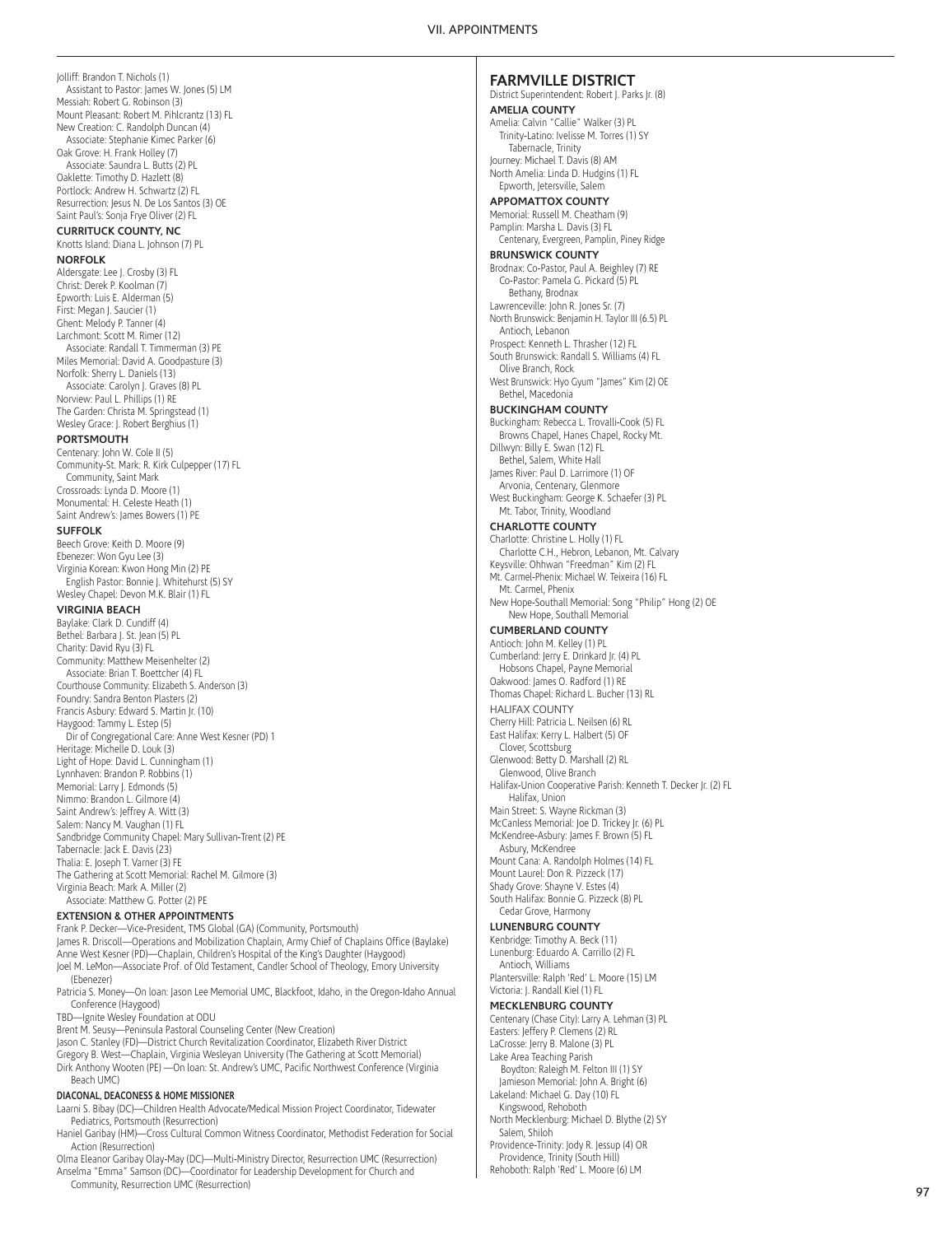Jolliff: Brandon T. Nichols (1) Assistant to Pastor: James W. Jones (5) LM Messiah: Robert G. Robinson (3) Mount Pleasant: Robert M. Pihlcrantz (13) FL New Creation: C. Randolph Duncan (4) Associate: Stephanie Kimec Parker (6) Oak Grove: H. Frank Holley (7) Associate: Saundra L. Butts (2) PL Oaklette: Timothy D. Hazlett (8) Portlock: Andrew H. Schwartz (2) FL Resurrection: Jesus N. De Los Santos (3) OE Saint Paul's: Sonja Frye Oliver (2) FL **CURRITUCK COUNTY, NC** Knotts Island: Diana L. Johnson (7) PL **NORFOLK** Aldersgate: Lee J. Crosby (3) FL Christ: Derek P. Koolman (7) Epworth: Luis E. Alderman (5) First: Megan J. Saucier (1) Ghent: Melody P. Tanner (4) Larchmont: Scott M. Rimer (12) Associate: Randall T. Timmerman (3) PE Miles Memorial: David A. Goodpasture (3) Norfolk: Sherry L. Daniels (13) Associate: Carolyn J. Graves (8) PL Norview: Paul L. Phillips (1) RE The Garden: Christa M. Springstead (1) Wesley Grace: J. Robert Berghius (1) **PORTSMOUTH** Centenary: John W. Cole II (5) Community-St. Mark: R. Kirk Culpepper (17) FL Community, Saint Mark Crossroads: Lynda D. Moore (1) Monumental: H. Celeste Heath (1) Saint Andrew's: James Bowers (1) PE **SUFFOLK** Beech Grove: Keith D. Moore (9) Ebenezer: Won Gyu Lee (3) Virginia Korean: Kwon Hong Min (2) PE English Pastor: Bonnie J. Whitehurst (5) SY Wesley Chapel: Devon M.K. Blair (1) FL **VIRGINIA BEACH** Baylake: Clark D. Cundiff (4) Bethel: Barbara J. St. Jean (5) PL Charity: David Ryu (3) FL Community: Matthew Meisenhelter (2) Associate: Brian T. Boettcher (4) FL Courthouse Community: Elizabeth S. Anderson (3) Foundry: Sandra Benton Plasters (2) Francis Asbury: Edward S. Martin Jr. (10) Haygood: Tammy L. Estep (5) Dir of Congregational Care: Anne West Kesner (PD) 1 Heritage: Michelle D. Louk (3) Light of Hope: David L. Cunningham (1) Lynnhaven: Brandon P. Robbins (1) Memorial: Larry J. Edmonds (5) Nimmo: Brandon L. Gilmore (4) Saint Andrew's: Jeffrey A. Witt (3) Salem: Nancy M. Vaughan (1) FL Sandbridge Community Chapel: Mary Sullivan-Trent (2) PE Tabernacle: Jack E. Davis (23) Thalia: E. Joseph T. Varner (3) FE The Gathering at Scott Memorial: Rachel M. Gilmore (3) Virginia Beach: Mark A. Miller (2) Associate: Matthew G. Potter (2) PE **EXTENSION & OTHER APPOINTMENTS**

Frank P. Decker—Vice-President, TMS Global (GA) (Community, Portsmouth) James R. Driscoll—Operations and Mobilization Chaplain, Army Chief of Chaplains Office (Baylake) Anne West Kesner (PD)—Chaplain, Children's Hospital of the King's Daughter (Haygood) Joel M. LeMon—Associate Prof. of Old Testament, Candler School of Theology, Emory University (Ebenezer)

Patricia S. Money—On loan: Jason Lee Memorial UMC, Blackfoot, Idaho, in the Oregon-Idaho Annual Conference (Haygood)

TBD—Ignite Wesley Foundation at ODU

Brent M. Seusy—Peninsula Pastoral Counseling Center (New Creation)

Jason C. Stanley (FD)—District Church Revitalization Coordinator, Elizabeth River District Gregory B. West—Chaplain, Virginia Wesleyan University (The Gathering at Scott Memorial) Dirk Anthony Wooten (PE) —On loan: St. Andrew's UMC, Pacific Northwest Conference (Virginia Beach UMC)

#### **DIACONAL, DEACONESS & HOME MISSIONER**

Laarni S. Bibay (DC)—Children Health Advocate/Medical Mission Project Coordinator, Tidewater Pediatrics, Portsmouth (Resurrection)

Haniel Garibay (HM)—Cross Cultural Common Witness Coordinator, Methodist Federation for Social Action (Resurrection)

Olma Eleanor Garibay Olay-May (DC)—Multi-Ministry Director, Resurrection UMC (Resurrection) Anselma "Emma" Samson (DC)—Coordinator for Leadership Development for Church and Community, Resurrection UMC (Resurrection)

## **FARMVILLE DISTRICT**

District Superintendent: Robert J. Parks Jr. (8) **AMELIA COUNTY** Amelia: Calvin "Callie" Walker (3) PL Trinity-Latino: Ivelisse M. Torres (1) SY Tabernacle, Trinity Journey: Michael T. Davis (8) AM North Amelia: Linda D. Hudgins (1) FL

### Epworth, Jetersville, Salem **APPOMATTOX COUNTY**

Memorial: Russell M. Cheatham (9) Pamplin: Marsha L. Davis (3) FL Centenary, Evergreen, Pamplin, Piney Ridge

## **BRUNSWICK COUNTY**

Brodnax: Co-Pastor, Paul A. Beighley (7) RE Co-Pastor: Pamela G. Pickard (5) PL Bethany, Brodnax Lawrenceville: John R. Jones Sr. (7) North Brunswick: Benjamin H. Taylor III (6.5) PL Antioch, Lebanon

Prospect: Kenneth L. Thrasher (12) FL South Brunswick: Randall S. Williams (4) FL Olive Branch, Rock

West Brunswick: Hyo Gyum "James" Kim (2) OE Bethel, Macedonia

# **BUCKINGHAM COUNTY**

Buckingham: Rebecca L. Trovalli-Cook (5) FL Browns Chapel, Hanes Chapel, Rocky Mt. Dillwyn: Billy E. Swan (12) FL

Bethel, Salem, White Hall James River: Paul D. Larrimore (1) OF

Arvonia, Centenary, Glenmore West Buckingham: George K. Schaefer (3) PL

Mt. Tabor, Trinity, Woodland

## **CHARLOTTE COUNTY**

Charlotte: Christine L. Holly (1) FL Charlotte C.H., Hebron, Lebanon, Mt. Calvary Keysville: Ohhwan "Freedman" Kim (2) FL Mt. Carmel-Phenix: Michael W. Teixeira (16) FL Mt. Carmel, Phenix New Hope-Southall Memorial: Song "Philip" Hong (2) OE

New Hope, Southall Memorial

## **CUMBERLAND COUNTY**

Antioch: John M. Kelley (1) PL Cumberland: Jerry E. Drinkard Jr. (4) PL Hobsons Chapel, Payne Memorial Oakwood: James O. Radford (1) RE Thomas Chapel: Richard L. Bucher (13) RL HALIFAX COUNTY Cherry Hill: Patricia L. Neilsen (6) RL East Halifax: Kerry L. Halbert (5) OF Clover, Scottsburg Glenwood: Betty D. Marshall (2) RL Glenwood, Olive Branch Halifax-Union Cooperative Parish: Kenneth T. Decker Jr. (2) FL Halifax, Union Main Street: S. Wayne Rickman (3) McCanless Memorial: Joe D. Trickey Jr. (6) PL McKendree-Asbury: James F. Brown (5) FL Asbury, McKendree Mount Cana: A. Randolph Holmes (14) FL Mount Laurel: Don R. Pizzeck (17) Shady Grove: Shayne V. Estes (4) South Halifax: Bonnie G. Pizzeck (8) PL

Cedar Grove, Harmony

#### **LUNENBURG COUNTY**

Kenbridge: Timothy A. Beck (11) Lunenburg: Eduardo A. Carrillo (2) FL Antioch, Williams Plantersville: Ralph 'Red' L. Moore (15) LM

Victoria: J. Randall Kiel (1) FL **MECKLENBURG COUNTY**

Centenary (Chase City): Larry A. Lehman (3) PL Easters: Jeffery P. Clemens (2) RL LaCrosse: Jerry B. Malone (3) PL Lake Area Teaching Parish

Boydton: Raleigh M. Felton III (1) SY Jamieson Memorial: John A. Bright (6)

Lakeland: Michael G. Day (10) FL Kingswood, Rehoboth

North Mecklenburg: Michael D. Blythe (2) SY Salem, Shiloh

Providence-Trinity: Jody R. Jessup (4) OR Providence, Trinity (South Hill) Rehoboth: Ralph 'Red' L. Moore (6) LM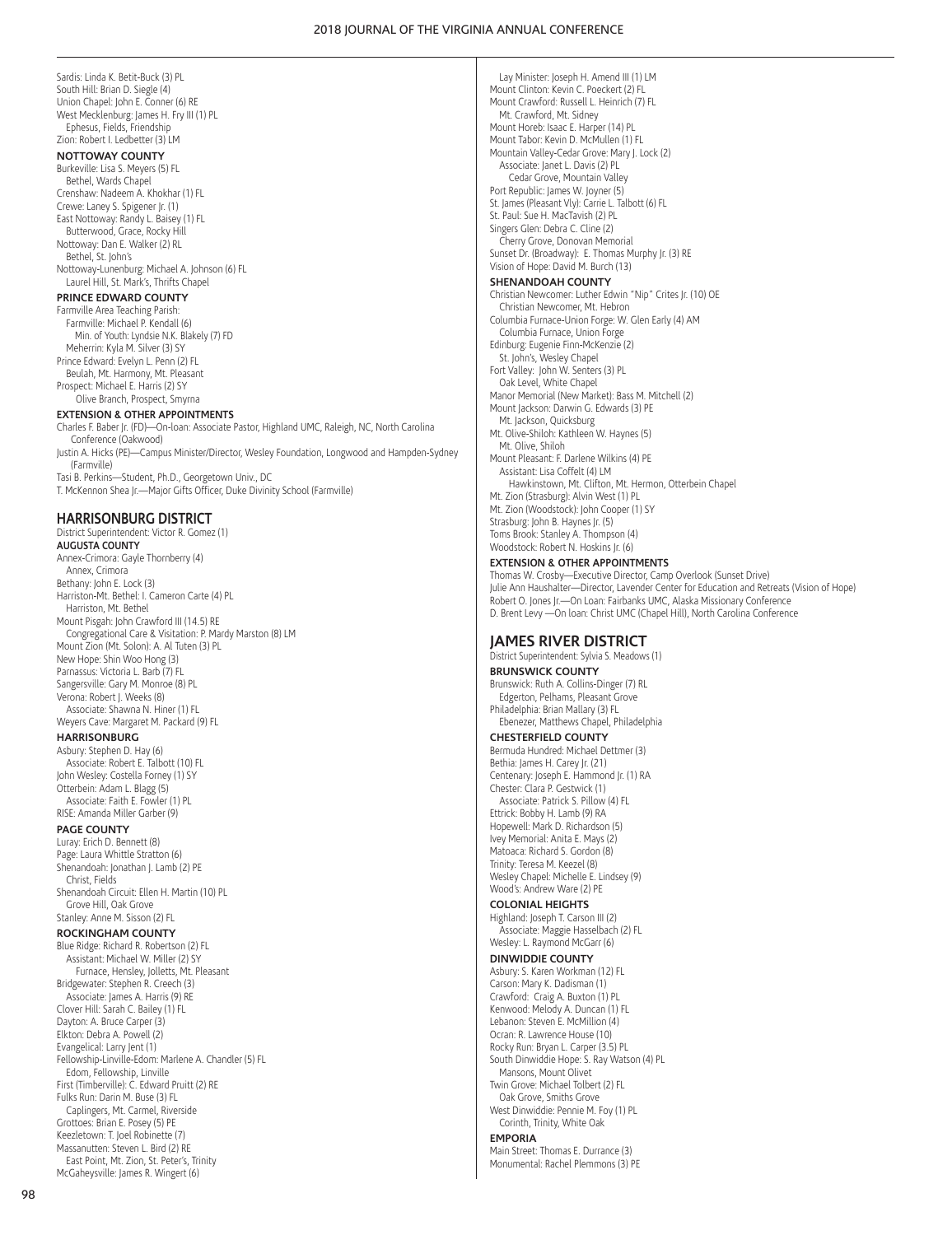Sardis: Linda K. Betit-Buck (3) PL South Hill: Brian D. Siegle (4) Union Chapel: John E. Conner (6) RE West Mecklenburg: James H. Fry III (1) PL Ephesus, Fields, Friendship Zion: Robert I. Ledbetter (3) LM

## **NOTTOWAY COUNTY**

Burkeville: Lisa S. Meyers (5) FL Bethel, Wards Chapel Crenshaw: Nadeem A. Khokhar (1) FL Crewe: Laney S. Spigener Jr. (1) East Nottoway: Randy L. Baisey (1) FL Butterwood, Grace, Rocky Hill Nottoway: Dan E. Walker (2) RL Bethel, St. John's Nottoway-Lunenburg: Michael A. Johnson (6) FL Laurel Hill, St. Mark's, Thrifts Chapel

## **PRINCE EDWARD COUNTY**

Farmville Area Teaching Parish: Farmville: Michael P. Kendall (6) Min. of Youth: Lyndsie N.K. Blakely (7) FD Meherrin: Kyla M. Silver (3) SY Prince Edward: Evelyn L. Penn (2) FL Beulah, Mt. Harmony, Mt. Pleasant Prospect: Michael E. Harris (2) SY Olive Branch, Prospect, Smyrna

#### **EXTENSION & OTHER APPOINTMENTS**

Charles F. Baber Jr. (FD)—On-loan: Associate Pastor, Highland UMC, Raleigh, NC, North Carolina Conference (Oakwood) Justin A. Hicks (PE)—Campus Minister/Director, Wesley Foundation, Longwood and Hampden-Sydney (Farmville) Tasi B. Perkins—Student, Ph.D., Georgetown Univ., DC T. McKennon Shea Jr.—Major Gifts Officer, Duke Divinity School (Farmville)

#### **HARRISONBURG DISTRICT**

District Superintendent: Victor R. Gomez (1) **AUGUSTA COUNTY** Annex-Crimora: Gayle Thornberry (4) Annex, Crimora Bethany: John E. Lock (3) Harriston-Mt. Bethel: I. Cameron Carte (4) PL Harriston, Mt. Bethel Mount Pisgah: John Crawford III (14.5) RE Congregational Care & Visitation: P. Mardy Marston (8) LM Mount Zion (Mt. Solon): A. Al Tuten (3) PL New Hope: Shin Woo Hong (3) Parnassus: Victoria L. Barb (7) FL Sangersville: Gary M. Monroe (8) PL Verona: Robert J. Weeks (8) Associate: Shawna N. Hiner (1) FL Weyers Cave: Margaret M. Packard (9) FL **HARRISONBURG** Asbury: Stephen D. Hay (6) Associate: Robert E. Talbott (10) FL John Wesley: Costella Forney (1) SY Otterbein: Adam L. Blagg (5) Associate: Faith E. Fowler (1) PL RISE: Amanda Miller Garber (9) **PAGE COUNTY** Luray: Erich D. Bennett (8) Page: Laura Whittle Stratton (6) Shenandoah: Jonathan J. Lamb (2) PE Christ, Fields

Shenandoah Circuit: Ellen H. Martin (10) PL Grove Hill, Oak Grove Stanley: Anne M. Sisson (2) FL

## **ROCKINGHAM COUNTY**

Blue Ridge: Richard R. Robertson (2) FL Assistant: Michael W. Miller (2) SY Furnace, Hensley, Jolletts, Mt. Pleasant Bridgewater: Stephen R. Creech (3) Associate: James A. Harris (9) RE Clover Hill: Sarah C. Bailey (1) FL Dayton: A. Bruce Carper (3) Elkton: Debra A. Powell (2) Evangelical: Larry Jent (1) Fellowship-Linville-Edom: Marlene A. Chandler (5) FL Edom, Fellowship, Linville First (Timberville): C. Edward Pruitt (2) RE Fulks Run: Darin M. Buse (3) FL Caplingers, Mt. Carmel, Riverside Grottoes: Brian E. Posey (5) PE Keezletown: T. Joel Robinette (7) Massanutten: Steven L. Bird (2) RE East Point, Mt. Zion, St. Peter's, Trinity McGaheysville: James R. Wingert (6)

Lay Minister: Joseph H. Amend III (1) LM Mount Clinton: Kevin C. Poeckert (2) FL Mount Crawford: Russell L. Heinrich (7) FL Mt. Crawford, Mt. Sidney Mount Horeb: Isaac E. Harper (14) PL Mount Tabor: Kevin D. McMullen (1) FL Mountain Valley-Cedar Grove: Mary J. Lock (2) Associate: Janet L. Davis (2) PL Cedar Grove, Mountain Valley Port Republic: James W. Joyner (5) St. James (Pleasant Vly): Carrie L. Talbott (6) FL St. Paul: Sue H. MacTavish (2) PL Singers Glen: Debra C. Cline (2) Cherry Grove, Donovan Memorial Sunset Dr. (Broadway): E. Thomas Murphy Jr. (3) RE Vision of Hope: David M. Burch (13)

## **SHENANDOAH COUNTY**

Christian Newcomer: Luther Edwin "Nip" Crites Jr. (10) OE Christian Newcomer, Mt. Hebron Columbia Furnace-Union Forge: W. Glen Early (4) AM Columbia Furnace, Union Forge Edinburg: Eugenie Finn-McKenzie (2) St. John's, Wesley Chapel Fort Valley: John W. Senters (3) PL Oak Level, White Chapel Manor Memorial (New Market): Bass M. Mitchell (2) Mount Jackson: Darwin G. Edwards (3) PE Mt. Jackson, Quicksburg Mt. Olive-Shiloh: Kathleen W. Haynes (5) Mt. Olive, Shiloh Mount Pleasant: F. Darlene Wilkins (4) PE Assistant: Lisa Coffelt (4) LM Hawkinstown, Mt. Clifton, Mt. Hermon, Otterbein Chapel Mt. Zion (Strasburg): Alvin West (1) PL Mt. Zion (Woodstock): John Cooper (1) SY Strasburg: John B. Haynes Jr. (5) Toms Brook: Stanley A. Thompson (4) Woodstock: Robert N. Hoskins Jr. (6)

#### **EXTENSION & OTHER APPOINTMENTS**

Thomas W. Crosby—Executive Director, Camp Overlook (Sunset Drive) Julie Ann Haushalter—Director, Lavender Center for Education and Retreats (Vision of Hope) Robert O. Jones Jr.—On Loan: Fairbanks UMC, Alaska Missionary Conference D. Brent Levy —On loan: Christ UMC (Chapel Hill), North Carolina Conference

### **JAMES RIVER DISTRICT**

District Superintendent: Sylvia S. Meadows (1) **BRUNSWICK COUNTY** Brunswick: Ruth A. Collins-Dinger (7) RL Edgerton, Pelhams, Pleasant Grove Philadelphia: Brian Mallary (3) FL Ebenezer, Matthews Chapel, Philadelphia **CHESTERFIELD COUNTY** Bermuda Hundred: Michael Dettmer (3) Bethia: James H. Carey Jr. (21)

Centenary: Joseph E. Hammond Jr. (1) RA Chester: Clara P. Gestwick (1) Associate: Patrick S. Pillow (4) FL Ettrick: Bobby H. Lamb (9) RA Hopewell: Mark D. Richardson (5) Ivey Memorial: Anita E. Mays (2) Matoaca: Richard S. Gordon (8) Trinity: Teresa M. Keezel (8) Wesley Chapel: Michelle E. Lindsey (9) Wood's: Andrew Ware (2) PE

#### **COLONIAL HEIGHTS**

Highland: Joseph T. Carson III (2) Associate: Maggie Hasselbach (2) FL Wesley: L. Raymond McGarr (6)

#### **DINWIDDIE COUNTY**

Asbury: S. Karen Workman (12) FL Carson: Mary K. Dadisman (1) Crawford: Craig A. Buxton (1) PL Kenwood: Melody A. Duncan (1) FL Lebanon: Steven E. McMillion (4) Ocran: R. Lawrence House (10) Rocky Run: Bryan L. Carper (3.5) PL South Dinwiddie Hope: S. Ray Watson (4) PL Mansons, Mount Olivet Twin Grove: Michael Tolbert (2) FL Oak Grove, Smiths Grove

West Dinwiddie: Pennie M. Foy (1) PL Corinth, Trinity, White Oak

## **EMPORIA**

Main Street: Thomas E. Durrance (3) Monumental: Rachel Plemmons (3) PE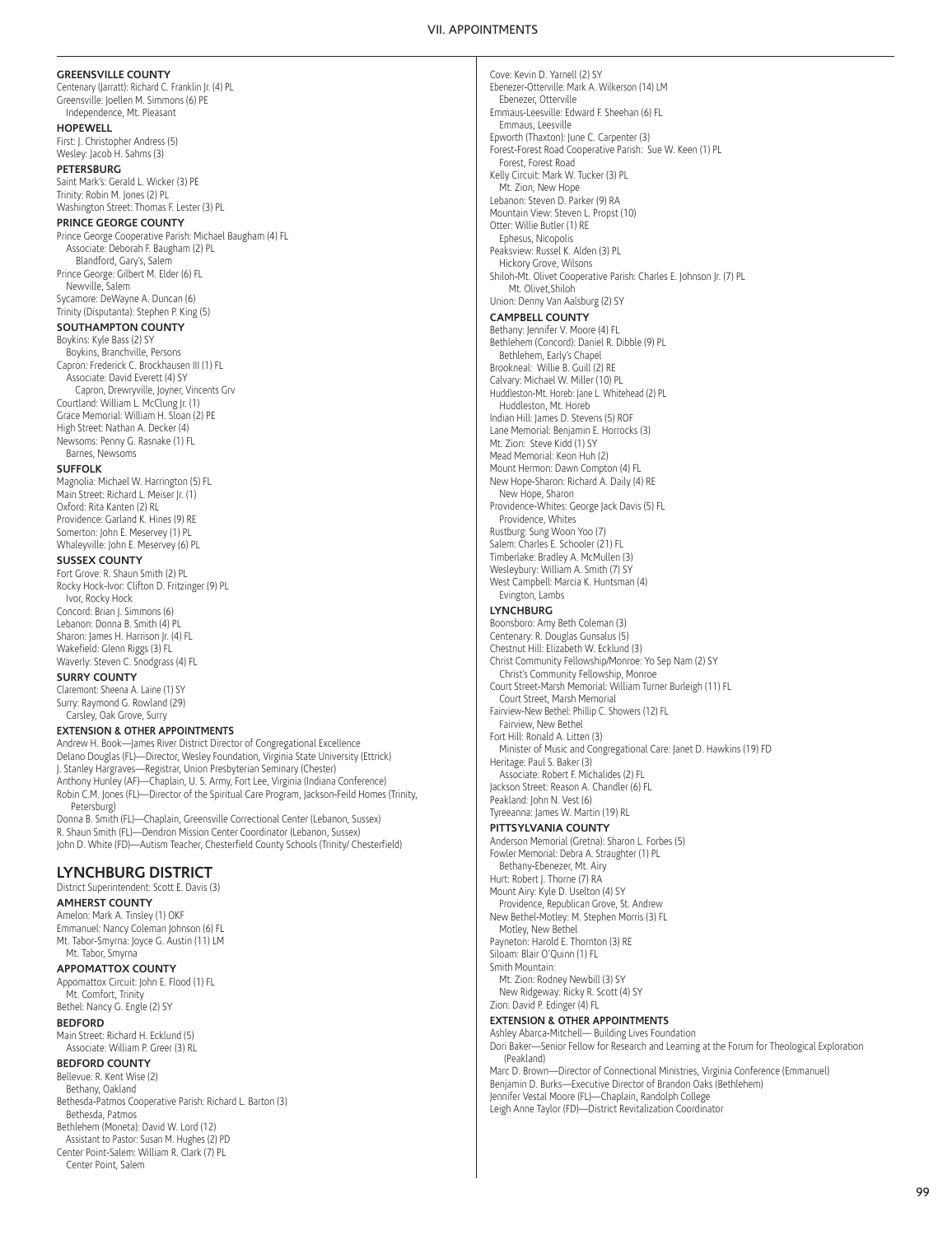#### VII. APPOINTMENTS

#### **GREENSVILLE COUNTY**

Centenary (Jarratt): Richard C. Franklin Jr. (4) PL Greensville: Joellen M. Simmons (6) PE Independence, Mt. Pleasant

#### **HOPEWELL**

First: J. Christopher Andress (5) Wesley: Jacob H. Sahms (3)

#### **PETERSBURG**

Saint Mark's: Gerald L. Wicker (3) PE Trinity: Robin M. Jones (2) PL Washington Street: Thomas F. Lester (3) PL

#### **PRINCE GEORGE COUNTY**

Prince George Cooperative Parish: Michael Baugham (4) FL Associate: Deborah F. Baugham (2) PL Blandford, Gary's, Salem

Prince George: Gilbert M. Elder (6) FL Newville, Salem

Sycamore: DeWayne A. Duncan (6) Trinity (Disputanta): Stephen P. King (5)

## **SOUTHAMPTON COUNTY**

Boykins: Kyle Bass (2) SY

Boykins, Branchville, Persons Capron: Frederick C. Brockhausen III (1) FL Associate: David Everett (4) SY Capron, Drewryville, Joyner, Vincents Grv Courtland: William L. McClung Jr. (1) Grace Memorial: William H. Sloan (2) PE High Street: Nathan A. Decker (4) Newsoms: Penny G. Rasnake (1) FL

Barnes, Newsoms

### **SUFFOLK**

Magnolia: Michael W. Harrington (5) FL Main Street: Richard L. Meiser Jr. (1) Oxford: Rita Kanten (2) RL Providence: Garland K. Hines (9) RE Somerton: John E. Meservey (1) PL Whaleyville: John E. Meservey (6) PL

## **SUSSEX COUNTY**

Fort Grove: R. Shaun Smith (2) PL Rocky Hock-Ivor: Clifton D. Fritzinger (9) PL Ivor, Rocky Hock Concord: Brian J. Simmons (6) Lebanon: Donna B. Smith (4) PL Sharon: James H. Harrison Jr. (4) FL Wakefield: Glenn Riggs (3) FL Waverly: Steven C. Snodgrass (4) FL

## **SURRY COUNTY**

Claremont: Sheena A. Laine (1) SY Surry: Raymond G. Rowland (29) Carsley, Oak Grove, Surry

## **EXTENSION & OTHER APPOINTMENTS**

Andrew H. Book—James River District Director of Congregational Excellence Delano Douglas (FL)—Director, Wesley Foundation, Virginia State University (Ettrick) J. Stanley Hargraves—Registrar, Union Presbyterian Seminary (Chester) Anthony Hunley (AF)—Chaplain, U. S. Army, Fort Lee, Virginia (Indiana Conference) Robin C.M. Jones (FL)—Director of the Spiritual Care Program, Jackson-Feild Homes (Trinity, Petersburg)

Donna B. Smith (FL)—Chaplain, Greensville Correctional Center (Lebanon, Sussex) R. Shaun Smith (FL)—Dendron Mission Center Coordinator (Lebanon, Sussex) John D. White (FD)—Autism Teacher, Chesterfield County Schools (Trinity/ Chesterfield)

## **LYNCHBURG DISTRICT**

District Superintendent: Scott E. Davis (3)

#### **AMHERST COUNTY**

Amelon: Mark A. Tinsley (1) OKF Emmanuel: Nancy Coleman Johnson (6) FL Mt. Tabor-Smyrna: Joyce G. Austin (11) LM Mt. Tabor, Smyrna

## **APPOMATTOX COUNTY**

Appomattox Circuit: John E. Flood (1) FL Mt. Comfort, Trinity

Bethel: Nancy G. Engle (2) SY **BEDFORD**

Main Street: Richard H. Ecklund (5) Associate: William P. Greer (3) RL

## **BEDFORD COUNTY**

Bellevue: R. Kent Wise (2) Bethany, Oakland Bethesda-Patmos Cooperative Parish: Richard L. Barton (3) Bethesda, Patmos Bethlehem (Moneta): David W. Lord (12) Assistant to Pastor: Susan M. Hughes (2) PD Center Point-Salem: William R. Clark (7) PL Center Point, Salem

Cove: Kevin D. Yarnell (2) SY Ebenezer-Otterville: Mark A. Wilkerson (14) LM Ebenezer, Otterville Emmaus-Leesville: Edward F. Sheehan (6) FL Emmaus, Leesville Epworth (Thaxton): June C. Carpenter (3) Forest-Forest Road Cooperative Parish: Sue W. Keen (1) PL Forest, Forest Road Kelly Circuit: Mark W. Tucker (3) PL Mt. Zion, New Hope Lebanon: Steven D. Parker (9) RA Mountain View: Steven L. Propst (10) Otter: Willie Butler (1) RE Ephesus, Nicopolis Peaksview: Russel K. Alden (3) PL Hickory Grove, Wilsons Shiloh-Mt. Olivet Cooperative Parish: Charles E. Johnson Jr. (7) PL Mt. Olivet,Shiloh Union: Denny Van Aalsburg (2) SY **CAMPBELL COUNTY** Bethany: Jennifer V. Moore (4) FL Bethlehem (Concord): Daniel R. Dibble (9) PL Bethlehem, Early's Chapel Brookneal: Willie B. Guill (2) RE Calvary: Michael W. Miller (10) PL Huddleston-Mt. Horeb: Jane L. Whitehead (2) PL Huddleston, Mt. Horeb Indian Hill: James D. Stevens (5) ROF Lane Memorial: Benjamin E. Horrocks (3) Mt. Zion: Steve Kidd (1) SY Mead Memorial: Keon Huh (2) Mount Hermon: Dawn Compton (4) FL New Hope-Sharon: Richard A. Daily (4) RE New Hope, Sharon Providence-Whites: George Jack Davis (5) FL Providence, Whites Rustburg: Sung Woon Yoo (7) Salem: Charles E. Schooler (21) FL Timberlake: Bradley A. McMullen (3) Wesleybury: William A. Smith (7) SY West Campbell: Marcia K. Huntsman (4) Evington, Lambs **LYNCHBURG** Boonsboro: Amy Beth Coleman (3) Centenary: R. Douglas Gunsalus (5) Chestnut Hill: Elizabeth W. Ecklund (3) Christ Community Fellowship/Monroe: Yo Sep Nam (2) SY Christ's Community Fellowship, Monroe Court Street-Marsh Memorial: William Turner Burleigh (11) FL Court Street, Marsh Memorial Fairview-New Bethel: Phillip C. Showers (12) FL Fairview, New Bethel Fort Hill: Ronald A. Litten (3) Minister of Music and Congregational Care: Janet D. Hawkins (19) FD Heritage: Paul S. Baker (3) Associate: Robert F. Michalides (2) FL Jackson Street: Reason A. Chandler (6) FL ,<br>Peakland: John N. Vest (6) Tyreeanna: James W. Martin (19) RL **PITTSYLVANIA COUNTY** Anderson Memorial (Gretna): Sharon L. Forbes (5) Fowler Memorial: Debra A. Straughter (1) PL Bethany-Ebenezer, Mt. Airy Hurt: Robert J. Thorne (7) RA Mount Airy: Kyle D. Uselton (4) SY Providence, Republican Grove, St. Andrew New Bethel-Motley: M. Stephen Morris (3) FL Motley, New Bethel Payneton: Harold E. Thornton (3) RE Siloam: Blair O'Quinn (1) FL Smith Mountain: Mt. Zion: Rodney Newbill (3) SY

New Ridgeway: Ricky R. Scott (4) SY Zion: David P. Edinger (4) FL

## **EXTENSION & OTHER APPOINTMENTS**

Ashley Abarca-Mitchell— Building Lives Foundation

Dori Baker—Senior Fellow for Research and Learning at the Forum for Theological Exploration (Peakland)

Marc D. Brown—Director of Connectional Ministries, Virginia Conference (Emmanuel) Benjamin D. Burks—Executive Director of Brandon Oaks (Bethlehem) Jennifer Vestal Moore (FL)—Chaplain, Randolph College

Leigh Anne Taylor (FD)—District Revitalization Coordinator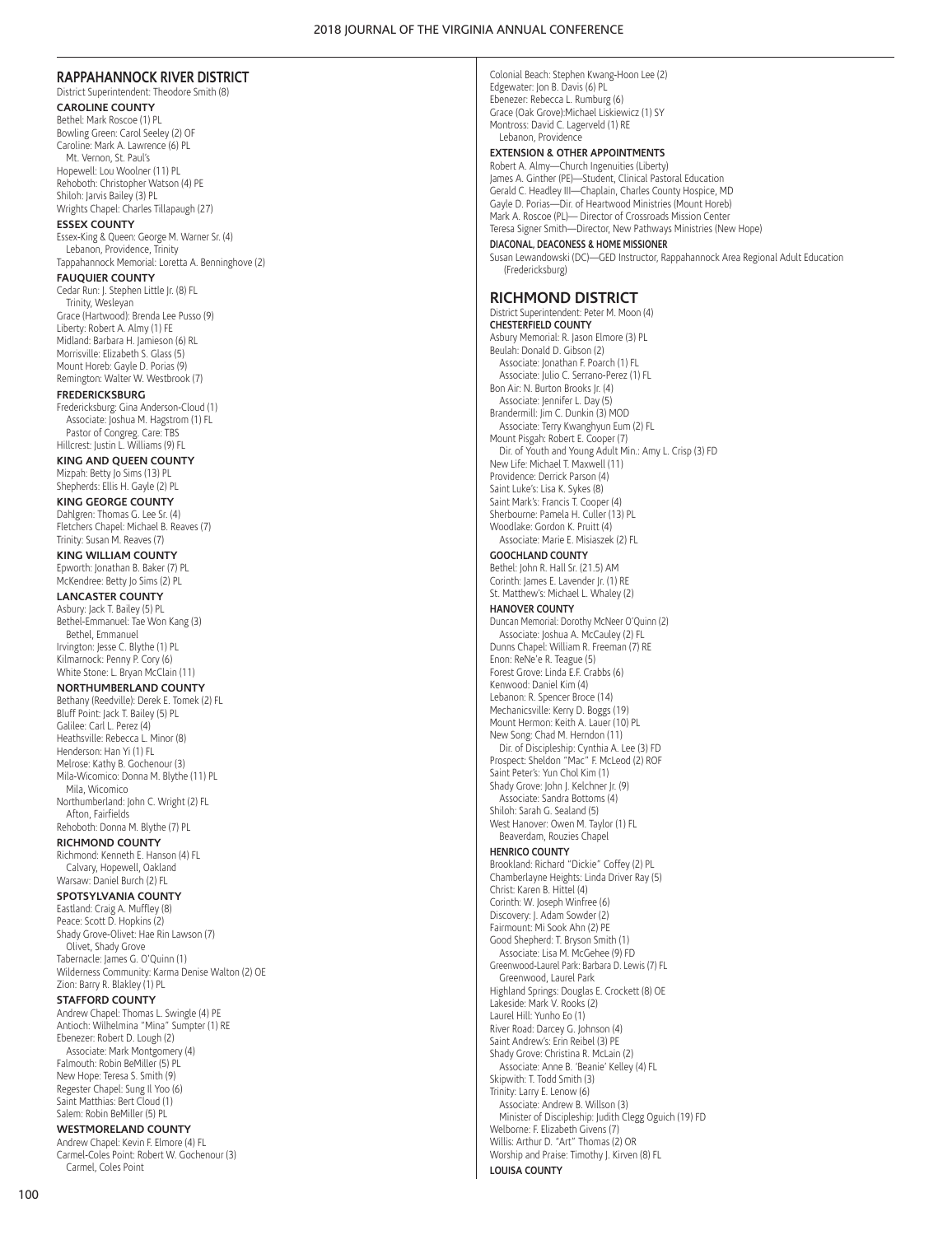## **RAPPAHANNOCK RIVER DISTRICT**

District Superintendent: Theodore Smith (8) **CAROLINE COUNTY**

Bethel: Mark Roscoe (1) PL Bowling Green: Carol Seeley (2) OF Caroline: Mark A. Lawrence (6) PL Mt. Vernon, St. Paul's Hopewell: Lou Woolner (11) PL Rehoboth: Christopher Watson (4) PE Shiloh: Jarvis Bailey (3) PL Wrights Chapel: Charles Tillapaugh (27)

#### **ESSEX COUNTY**

Essex-King & Queen: George M. Warner Sr. (4) Lebanon, Providence, Trinity

#### Tappahannock Memorial: Loretta A. Benninghove (2) **FAUQUIER COUNTY**

Cedar Run: J. Stephen Little Jr. (8) FL Trinity, Wesleyan Grace (Hartwood): Brenda Lee Pusso (9) Liberty: Robert A. Almy (1) FE Midland: Barbara H. Jamieson (6) RL Morrisville: Elizabeth S. Glass (5) Mount Horeb: Gayle D. Porias (9) Remington: Walter W. Westbrook (7)

#### **FREDERICKSBURG**

Fredericksburg: Gina Anderson-Cloud (1) Associate: Joshua M. Hagstrom (1) FL Pastor of Congreg. Care: TBS Hillcrest: Justin L. Williams (9) FL

**KING AND QUEEN COUNTY** Mizpah: Betty Jo Sims (13) PL Shepherds: Ellis H. Gayle (2) PL

#### **KING GEORGE COUNTY**

Dahlgren: Thomas G. Lee Sr. (4) Fletchers Chapel: Michael B. Reaves (7) Trinity: Susan M. Reaves (7)

## **KING WILLIAM COUNTY**

Epworth: Jonathan B. Baker (7) PL McKendree: Betty Jo Sims (2) PL

## **LANCASTER COUNTY**

Asbury: Jack T. Bailey (5) PL Bethel-Emmanuel: Tae Won Kang (3) Bethel, Emmanuel Irvington: Jesse C. Blythe (1) PL Kilmarnock: Penny P. Cory (6) White Stone: L. Bryan McClain (11)

#### **NORTHUMBERLAND COUNTY**

Bethany (Reedville): Derek E. Tomek (2) FL Bluff Point: Jack T. Bailey (5) PL Galilee: Carl L. Perez (4) Heathsville: Rebecca L. Minor (8) Henderson: Han Yi (1) FL Melrose: Kathy B. Gochenour (3) Mila-Wicomico: Donna M. Blythe (11) PL Mila, Wicomico Northumberland: John C. Wright (2) FL Afton, Fairfields Rehoboth: Donna M. Blythe (7) PL

## **RICHMOND COUNTY**

Richmond: Kenneth E. Hanson (4) FL Calvary, Hopewell, Oakland Warsaw: Daniel Burch (2) FL

#### **SPOTSYLVANIA COUNTY**

Eastland: Craig A. Muffley (8) Peace: Scott D. Hopkins (2) Shady Grove-Olivet: Hae Rin Lawson (7) Olivet, Shady Grove Tabernacle: James G. O'Quinn (1) Wilderness Community: Karma Denise Walton (2) OE Zion: Barry R. Blakley (1) PL

## **STAFFORD COUNTY**

Andrew Chapel: Thomas L. Swingle (4) PE Antioch: Wilhelmina "Mina" Sumpter (1) RE Ebenezer: Robert D. Lough (2) Associate: Mark Montgomery (4) Falmouth: Robin BeMiller (5) PL New Hope: Teresa S. Smith (9) Regester Chapel: Sung Il Yoo (6) Saint Matthias: Bert Cloud (1) Salem: Robin BeMiller (5) PL

#### **WESTMORELAND COUNTY**

Andrew Chapel: Kevin F. Elmore (4) FL Carmel-Coles Point: Robert W. Gochenour (3) Carmel, Coles Point

## **EXTENSION & OTHER APPOINTMENTS**

Robert A. Almy—Church Ingenuities (Liberty) James A. Ginther (PE)—Student, Clinical Pastoral Education Gerald C. Headley III—Chaplain, Charles County Hospice, MD Gayle D. Porias—Dir. of Heartwood Ministries (Mount Horeb) Mark A. Roscoe (PL)— Director of Crossroads Mission Center Teresa Signer Smith—Director, New Pathways Ministries (New Hope)

#### **DIACONAL, DEACONESS & HOME MISSIONER**

Susan Lewandowski (DC)—GED Instructor, Rappahannock Area Regional Adult Education (Fredericksburg)

## **RICHMOND DISTRICT**

District Superintendent: Peter M. Moon (4) **CHESTERFIELD COUNTY** Asbury Memorial: R. Jason Elmore (3) PL Beulah: Donald D. Gibson (2) Associate: Jonathan F. Poarch (1) FL Associate: Julio C. Serrano-Perez (1) FL Bon Air: N. Burton Brooks Jr. (4) Associate: Jennifer L. Day (5) Brandermill: Jim C. Dunkin (3) MOD Associate: Terry Kwanghyun Eum (2) FL Mount Pisgah: Robert E. Cooper (7) Dir. of Youth and Young Adult Min.: Amy L. Crisp (3) FD New Life: Michael T. Maxwell (11) Providence: Derrick Parson (4) Saint Luke's: Lisa K. Sykes (8) Saint Mark's: Francis T. Cooper (4) Sherbourne: Pamela H. Culler (13) PL Woodlake: Gordon K. Pruitt (4) Associate: Marie E. Misiaszek (2) FL

#### **GOOCHLAND COUNTY**

Bethel: John R. Hall Sr. (21.5) AM Corinth: James E. Lavender Jr. (1) RE St. Matthew's: Michael L. Whaley (2)

## **HANOVER COUNTY**

Duncan Memorial: Dorothy McNeer O'Quinn (2) Associate: Joshua A. McCauley (2) FL Dunns Chapel: William R. Freeman (7) RE Enon: ReNe'e R. Teague (5) Forest Grove: Linda E.F. Crabbs (6) Kenwood: Daniel Kim (4) Lebanon: R. Spencer Broce (14) Mechanicsville: Kerry D. Boggs (19) Mount Hermon: Keith A. Lauer (10) PL New Song: Chad M. Herndon (11) Dir. of Discipleship: Cynthia A. Lee (3) FD Prospect: Sheldon "Mac" F. McLeod (2) ROF Saint Peter's: Yun Chol Kim (1) Shady Grove: John J. Kelchner Jr. (9) Associate: Sandra Bottoms (4) Shiloh: Sarah G. Sealand (5) West Hanover: Owen M. Taylor (1) FL Beaverdam, Rouzies Chapel **HENRICO COUNTY** Brookland: Richard "Dickie" Coffey (2) PL Chamberlayne Heights: Linda Driver Ray (5)

Christ: Karen B. Hittel (4) Corinth: W. Joseph Winfree (6) Discovery: J. Adam Sowder (2) Fairmount: Mi Sook Ahn (2) PE Good Shepherd: T. Bryson Smith (1) Associate: Lisa M. McGehee (9) FD Greenwood-Laurel Park: Barbara D. Lewis (7) FL Greenwood, Laurel Park Highland Springs: Douglas E. Crockett (8) OE Lakeside: Mark V. Rooks (2) Laurel Hill: Yunho Eo (1) River Road: Darcey G. Johnson (4) Saint Andrew's: Erin Reibel (3) PE Shady Grove: Christina R. McLain (2) Associate: Anne B. 'Beanie' Kelley (4) FL Skipwith: T. Todd Smith (3) Trinity: Larry E. Lenow (6) Associate: Andrew B. Willson (3) Minister of Discipleship: Judith Clegg Oguich (19) FD Welborne: F. Elizabeth Givens (7) Willis: Arthur D. "Art" Thomas (2) OR Worship and Praise: Timothy J. Kirven (8) FL

# **LOUISA COUNTY**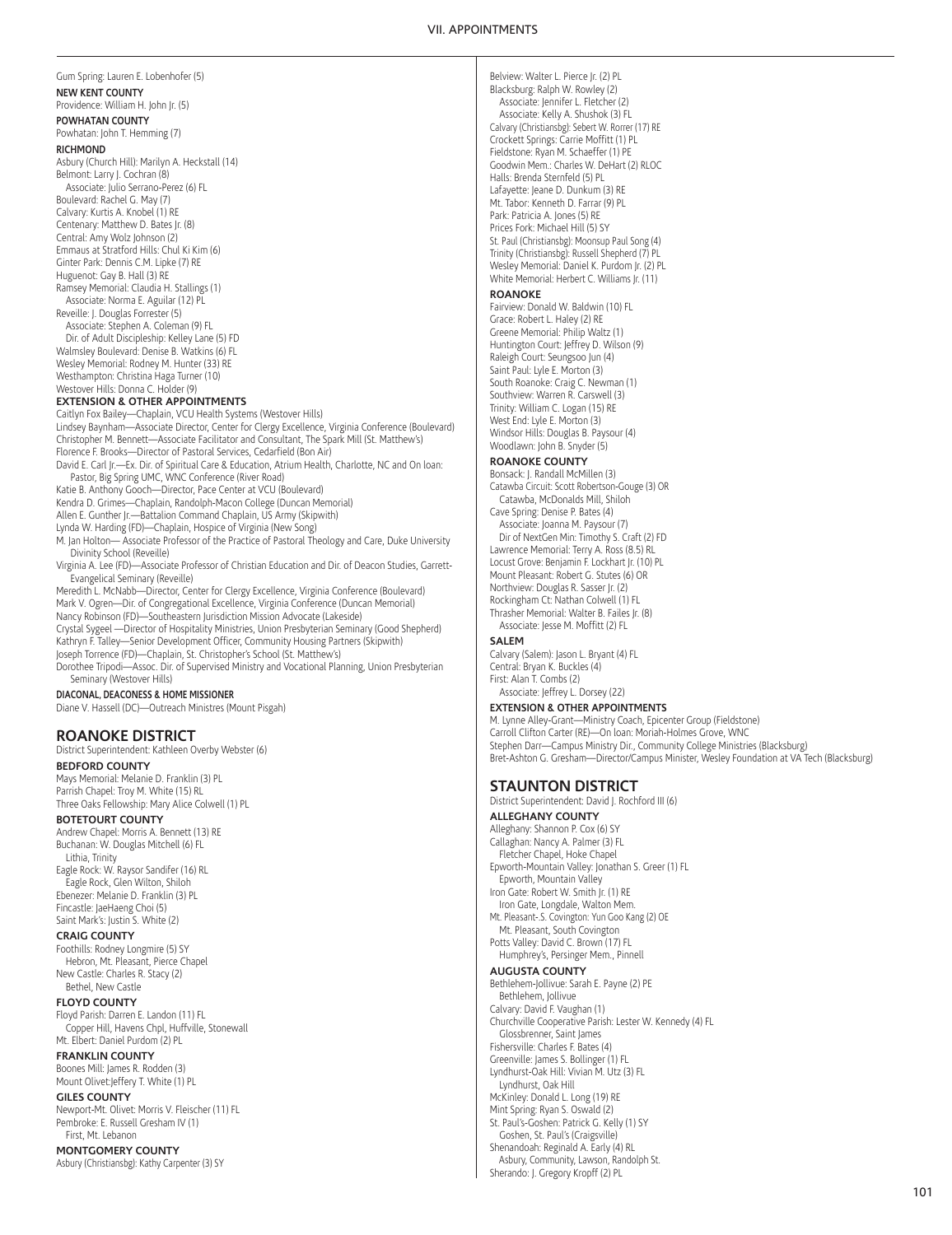#### VII. APPOINTMENTS

Gum Spring: Lauren E. Lobenhofer (5) **NEW KENT COUNTY** Providence: William H. John Jr. (5) **POWHATAN COUNTY** Powhatan: John T. Hemming (7) **RICHMOND** Asbury (Church Hill): Marilyn A. Heckstall (14) Belmont: Larry J. Cochran (8) Associate: Julio Serrano-Perez (6) FL Boulevard: Rachel G. May (7) Calvary: Kurtis A. Knobel (1) RE Centenary: Matthew D. Bates Jr. (8) Central: Amy Wolz Johnson (2) Emmaus at Stratford Hills: Chul Ki Kim (6) Ginter Park: Dennis C.M. Lipke (7) RE Huguenot: Gay B. Hall (3) RE Ramsey Memorial: Claudia H. Stallings (1) Associate: Norma E. Aguilar (12) PL Reveille: J. Douglas Forrester (5) Associate: Stephen A. Coleman (9) FL Dir. of Adult Discipleship: Kelley Lane (5) FD

Walmsley Boulevard: Denise B. Watkins (6) FL Wesley Memorial: Rodney M. Hunter (33) RE Westhampton: Christina Haga Turner (10) Westover Hills: Donna C. Holder (9)

## **EXTENSION & OTHER APPOINTMENTS**

Caitlyn Fox Bailey—Chaplain, VCU Health Systems (Westover Hills) Lindsey Baynham—Associate Director, Center for Clergy Excellence, Virginia Conference (Boulevard) Christopher M. Bennett—Associate Facilitator and Consultant, The Spark Mill (St. Matthew's) Florence F. Brooks—Director of Pastoral Services, Cedarfield (Bon Air)

David E. Carl Jr.-Ex. Dir. of Spiritual Care & Education, Atrium Health, Charlotte, NC and On loan: Pastor, Big Spring UMC, WNC Conference (River Road)

Katie B. Anthony Gooch—Director, Pace Center at VCU (Boulevard)

Kendra D. Grimes—Chaplain, Randolph-Macon College (Duncan Memorial)

Allen E. Gunther Jr.-Battalion Command Chaplain, US Army (Skipwith)

Lynda W. Harding (FD)—Chaplain, Hospice of Virginia (New Song)

M. Jan Holton— Associate Professor of the Practice of Pastoral Theology and Care, Duke University Divinity School (Reveille)

Virginia A. Lee (FD)—Associate Professor of Christian Education and Dir. of Deacon Studies, Garrett-Evangelical Seminary (Reveille)

Meredith L. McNabb—Director, Center for Clergy Excellence, Virginia Conference (Boulevard) Mark V. Ogren—Dir. of Congregational Excellence, Virginia Conference (Duncan Memorial) Nancy Robinson (FD)—Southeastern Jurisdiction Mission Advocate (Lakeside)

Crystal Sygeel —Director of Hospitality Ministries, Union Presbyterian Seminary (Good Shepherd) Kathryn F. Talley—Senior Development Officer, Community Housing Partners (Skipwith) Joseph Torrence (FD)—Chaplain, St. Christopher's School (St. Matthew's)

Dorothee Tripodi—Assoc. Dir. of Supervised Ministry and Vocational Planning, Union Presbyterian Seminary (Westover Hills)

#### **DIACONAL, DEACONESS & HOME MISSIONER**

Diane V. Hassell (DC)—Outreach Ministres (Mount Pisgah)

## **ROANOKE DISTRICT**

District Superintendent: Kathleen Overby Webster (6)

**BEDFORD COUNTY** Mays Memorial: Melanie D. Franklin (3) PL Parrish Chapel: Troy M. White (15) RL Three Oaks Fellowship: Mary Alice Colwell (1) PL

#### **BOTETOURT COUNTY**

Andrew Chapel: Morris A. Bennett (13) RE Buchanan: W. Douglas Mitchell (6) FL Lithia, Trinity

Eagle Rock: W. Raysor Sandifer (16) RL Eagle Rock, Glen Wilton, Shiloh Ebenezer: Melanie D. Franklin (3) PL Fincastle: JaeHaeng Choi (5) Saint Mark's: Justin S. White (2)

## **CRAIG COUNTY**

Foothills: Rodney Longmire (5) SY Hebron, Mt. Pleasant, Pierce Chapel New Castle: Charles R. Stacy (2) Bethel, New Castle

#### **FLOYD COUNTY**

Floyd Parish: Darren E. Landon (11) FL Copper Hill, Havens Chpl, Huffville, Stonewall Mt. Elbert: Daniel Purdom (2) PL

#### **FRANKLIN COUNTY**

Boones Mill: James R. Rodden (3) Mount Olivet:Jeffery T. White (1) PL

#### **GILES COUNTY**

Newport-Mt. Olivet: Morris V. Fleischer (11) FL Pembroke: E. Russell Gresham IV (1) First, Mt. Lebanon

## **MONTGOMERY COUNTY**

Asbury (Christiansbg): Kathy Carpenter (3) SY

Belview: Walter L. Pierce Jr. (2) PL Blacksburg: Ralph W. Rowley (2) Associate: Jennifer L. Fletcher (2) Associate: Kelly A. Shushok (3) FL Calvary (Christiansbg): Sebert W. Rorrer (17) RE Crockett Springs: Carrie Moffitt (1) PL Fieldstone: Ryan M. Schaeffer (1) PE Goodwin Mem.: Charles W. DeHart (2) RLOC Halls: Brenda Sternfeld (5) PL Lafayette: Jeane D. Dunkum (3) RE Mt. Tabor: Kenneth D. Farrar (9) PL Park: Patricia A. Jones (5) RE Prices Fork: Michael Hill (5) SY St. Paul (Christiansbg): Moonsup Paul Song (4) Trinity (Christiansbg): Russell Shepherd (7) PL Wesley Memorial: Daniel K. Purdom Jr. (2) PL White Memorial: Herbert C. Williams Jr. (11)

## **ROANOKE**

Fairview: Donald W. Baldwin (10) FL Grace: Robert L. Haley (2) RE Greene Memorial: Philip Waltz (1) Huntington Court: Jeffrey D. Wilson (9) Raleigh Court: Seungsoo Jun (4) Saint Paul: Lyle E. Morton (3) South Roanoke: Craig C. Newman (1) Southview: Warren R. Carswell (3) Trinity: William C. Logan (15) RE West End: Lyle E. Morton (3) Windsor Hills: Douglas B. Paysour (4) Woodlawn: John B. Snyder (5)

## **ROANOKE COUNTY**

Bonsack: J. Randall McMillen (3) Catawba Circuit: Scott Robertson-Gouge (3) OR Catawba, McDonalds Mill, Shiloh Cave Spring: Denise P. Bates (4) Associate: Joanna M. Paysour (7) Dir of NextGen Min: Timothy S. Craft (2) FD Lawrence Memorial: Terry A. Ross (8.5) RL Locust Grove: Benjamin F. Lockhart Jr. (10) PL Mount Pleasant: Robert G. Stutes (6) OR Northview: Douglas R. Sasser Jr. (2) Rockingham Ct: Nathan Colwell (1) FL Thrasher Memorial: Walter B. Failes Jr. (8) Associate: Jesse M. Moffitt (2) FL

#### **SALEM**

Calvary (Salem): Jason L. Bryant (4) FL Central: Bryan K. Buckles (4) First: Alan T. Combs (2) Associate: Jeffrey L. Dorsey (22)

## **EXTENSION & OTHER APPOINTMENTS**

M. Lynne Alley-Grant—Ministry Coach, Epicenter Group (Fieldstone) Carroll Clifton Carter (RE)—On loan: Moriah-Holmes Grove, WNC Stephen Darr—Campus Ministry Dir., Community College Ministries (Blacksburg) Bret-Ashton G. Gresham—Director/Campus Minister, Wesley Foundation at VA Tech (Blacksburg)

#### **STAUNTON DISTRICT**

District Superintendent: David J. Rochford III (6) **ALLEGHANY COUNTY** Alleghany: Shannon P. Cox (6) SY Callaghan: Nancy A. Palmer (3) FL Fletcher Chapel, Hoke Chapel Epworth-Mountain Valley: Jonathan S. Greer (1) FL Epworth, Mountain Valley Iron Gate: Robert W. Smith Jr. (1) RE Iron Gate, Longdale, Walton Mem. Mt. Pleasant-.S. Covington: Yun Goo Kang (2) OE Mt. Pleasant, South Covington Potts Valley: David C. Brown (17) FL Humphrey's, Persinger Mem., Pinnell **AUGUSTA COUNTY** Bethlehem-Jollivue: Sarah E. Payne (2) PE Bethlehem, Jollivue Calvary: David F. Vaughan (1) Churchville Cooperative Parish: Lester W. Kennedy (4) FL Glossbrenner, Saint James Fishersville: Charles F. Bates (4) Greenville: James S. Bollinger (1) FL Lyndhurst-Oak Hill: Vivian M. Utz (3) FL Lyndhurst, Oak Hill McKinley: Donald L. Long (19) RE Mint Spring: Ryan S. Oswald (2) St. Paul's-Goshen: Patrick G. Kelly (1) SY Goshen, St. Paul's (Craigsville) Shenandoah: Reginald A. Early (4) RL Asbury, Community, Lawson, Randolph St. Sherando: J. Gregory Kropff (2) PL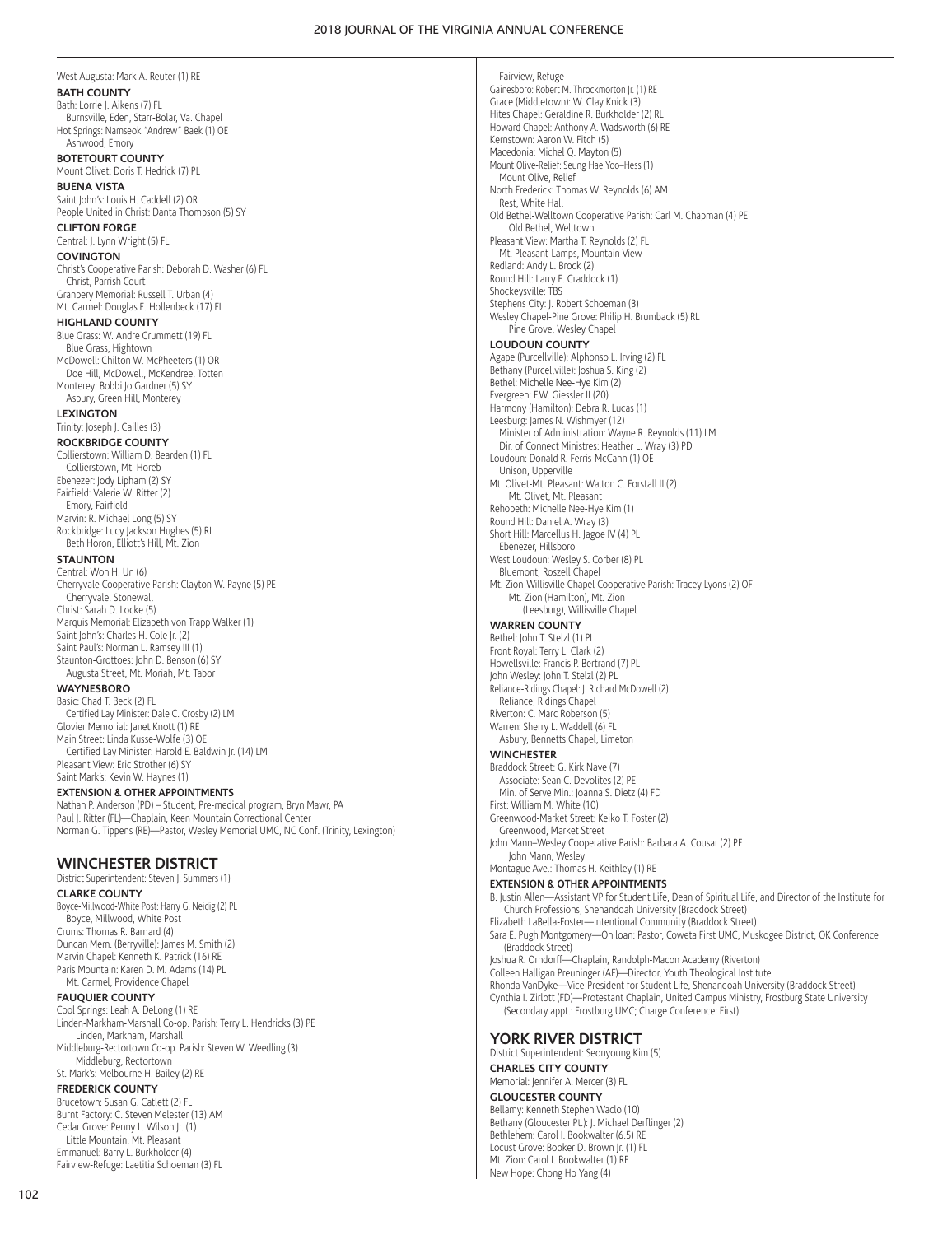**BATH COUNTY** Bath: Lorrie J. Aikens (7) FL Burnsville, Eden, Starr-Bolar, Va. Chapel Hot Springs: Namseok "Andrew" Baek (1) OE Ashwood, Emory **BOTETOURT COUNTY** Mount Olivet: Doris T. Hedrick (7) PL **BUENA VISTA** Saint John's: Louis H. Caddell (2) OR People United in Christ: Danta Thompson (5) SY **CLIFTON FORGE** Central: J. Lynn Wright (5) FL **COVINGTON** Christ's Cooperative Parish: Deborah D. Washer (6) FL Christ, Parrish Court Granbery Memorial: Russell T. Urban (4) Mt. Carmel: Douglas E. Hollenbeck (17) FL **HIGHLAND COUNTY** Blue Grass: W. Andre Crummett (19) FL Blue Grass, Hightown McDowell: Chilton W. McPheeters (1) OR Doe Hill, McDowell, McKendree, Totten Monterey: Bobbi Jo Gardner (5) SY Asbury, Green Hill, Monterey **LEXINGTON** Trinity: Joseph J. Cailles (3) **ROCKBRIDGE COUNTY** Collierstown: William D. Bearden (1) FL Collierstown, Mt. Horeb Ebenezer: Jody Lipham (2) SY Fairfield: Valerie W. Ritter (2) Emory, Fairfield Marvin: R. Michael Long (5) SY Rockbridge: Lucy Jackson Hughes (5) RL Beth Horon, Elliott's Hill, Mt. Zion **STAUNTON** Central: Won H. Un (6) Cherryvale Cooperative Parish: Clayton W. Payne (5) PE Cherryvale, Stonewall Christ: Sarah D. Locke (5) Marquis Memorial: Elizabeth von Trapp Walker (1) Saint John's: Charles H. Cole Jr. (2) Saint Paul's: Norman L. Ramsey III (1) Staunton-Grottoes: John D. Benson (6) SY

West Augusta: Mark A. Reuter (1) RE

#### **WAYNESBORO**

Basic: Chad T. Beck (2) FL Certified Lay Minister: Dale C. Crosby (2) LM Glovier Memorial: Janet Knott (1) RE Main Street: Linda Kusse-Wolfe (3) OE Certified Lay Minister: Harold E. Baldwin Jr. (14) LM Pleasant View: Eric Strother (6) SY Saint Mark's: Kevin W. Haynes (1)

#### **EXTENSION & OTHER APPOINTMENTS**

Augusta Street, Mt. Moriah, Mt. Tabor

Nathan P. Anderson (PD) – Student, Pre-medical program, Bryn Mawr, PA Paul J. Ritter (FL)—Chaplain, Keen Mountain Correctional Center Norman G. Tippens (RE)—Pastor, Wesley Memorial UMC, NC Conf. (Trinity, Lexington)

## **WINCHESTER DISTRICT**

District Superintendent: Steven J. Summers (1)

**CLARKE COUNTY**

Boyce-Millwood-White Post: Harry G. Neidig (2) PL Boyce, Millwood, White Post Crums: Thomas R. Barnard (4) Duncan Mem. (Berryville): James M. Smith (2) Marvin Chapel: Kenneth K. Patrick (16) RE Paris Mountain: Karen D. M. Adams (14) PL Mt. Carmel, Providence Chapel

#### **FAUQUIER COUNTY**

Cool Springs: Leah A. DeLong (1) RE Linden-Markham-Marshall Co-op. Parish: Terry L. Hendricks (3) PE Linden, Markham, Marshall Middleburg-Rectortown Co-op. Parish: Steven W. Weedling (3) Middleburg, Rectortown St. Mark's: Melbourne H. Bailey (2) RE

#### **FREDERICK COUNTY**

Brucetown: Susan G. Catlett (2) FL Burnt Factory: C. Steven Melester (13) AM Cedar Grove: Penny L. Wilson Jr. (1) Little Mountain, Mt. Pleasant Emmanuel: Barry L. Burkholder (4) Fairview-Refuge: Laetitia Schoeman (3) FL

Fairview, Refuge Gainesboro: Robert M. Throckmorton Jr. (1) RE Grace (Middletown): W. Clay Knick (3) Hites Chapel: Geraldine R. Burkholder (2) RL Howard Chapel: Anthony A. Wadsworth (6) RE Kernstown: Aaron W. Fitch (5) Macedonia: Michel Q. Mayton (5) Mount Olive-Relief: Seung Hae Yoo–Hess (1) Mount Olive, Relief North Frederick: Thomas W. Reynolds (6) AM Rest, White Hall Old Bethel-Welltown Cooperative Parish: Carl M. Chapman (4) PE Old Bethel, Welltown Pleasant View: Martha T. Reynolds (2) FL Mt. Pleasant-Lamps, Mountain View Redland: Andy L. Brock (2) Round Hill: Larry E. Craddock (1) Shockeysville: TBS Stephens City: J. Robert Schoeman (3) Wesley Chapel-Pine Grove: Philip H. Brumback (5) RL Pine Grove, Wesley Chapel **LOUDOUN COUNTY** Agape (Purcellville): Alphonso L. Irving (2) FL Bethany (Purcellville): Joshua S. King (2) Bethel: Michelle Nee-Hye Kim (2) Evergreen: F.W. Giessler II (20) Harmony (Hamilton): Debra R. Lucas (1) Leesburg: James N. Wishmyer (12) Minister of Administration: Wayne R. Reynolds (11) LM Dir. of Connect Ministres: Heather L. Wray (3) PD Loudoun: Donald R. Ferris-McCann (1) OE Unison, Upperville Mt. Olivet-Mt. Pleasant: Walton C. Forstall II (2) Mt. Olivet, Mt. Pleasant Rehobeth: Michelle Nee-Hye Kim (1) Round Hill: Daniel A. Wray (3) Short Hill: Marcellus H. Jagoe IV (4) PL Ebenezer, Hillsboro West Loudoun: Wesley S. Corber (8) PL Bluemont, Roszell Chapel Mt. Zion-Willisville Chapel Cooperative Parish: Tracey Lyons (2) OF Mt. Zion (Hamilton), Mt. Zion (Leesburg), Willisville Chapel **WARREN COUNTY** Bethel: John T. Stelzl (1) PL Front Royal: Terry L. Clark (2) Howellsville: Francis P. Bertrand (7) PL John Wesley: John T. Stelzl (2) PL Reliance-Ridings Chapel: J. Richard McDowell (2) Reliance, Ridings Chapel Riverton: C. Marc Roberson (5) Warren: Sherry L. Waddell (6) FL Asbury, Bennetts Chapel, Limeton **WINCHESTER** Braddock Street: G. Kirk Nave (7) Associate: Sean C. Devolites (2) PE Min. of Serve Min.: Joanna S. Dietz (4) FD First: William M. White (10) Greenwood-Market Street: Keiko T. Foster (2) Greenwood, Market Street John Mann–Wesley Cooperative Parish: Barbara A. Cousar (2) PE John Mann, Wesley Montague Ave.: Thomas H. Keithley (1) RE **EXTENSION & OTHER APPOINTMENTS** B. Justin Allen—Assistant VP for Student Life, Dean of Spiritual Life, and Director of the Institute for Church Professions, Shenandoah University (Braddock Street) Elizabeth LaBella-Foster—Intentional Community (Braddock Street) Sara E. Pugh Montgomery—On loan: Pastor, Coweta First UMC, Muskogee District, OK Conference (Braddock Street) Joshua R. Orndorff—Chaplain, Randolph-Macon Academy (Riverton) Colleen Halligan Preuninger (AF)—Director, Youth Theological Institute Rhonda VanDyke—Vice-President for Student Life, Shenandoah University (Braddock Street) Cynthia I. Zirlott (FD)—Protestant Chaplain, United Campus Ministry, Frostburg State University (Secondary appt.: Frostburg UMC; Charge Conference: First) **YORK RIVER DISTRICT**

District Superintendent: Seonyoung Kim (5) **CHARLES CITY COUNTY** Memorial: Jennifer A. Mercer (3) FL

## **GLOUCESTER COUNTY** Bellamy: Kenneth Stephen Waclo (10) Bethany (Gloucester Pt.): J. Michael Derflinger (2)

Bethlehem: Carol I. Bookwalter (6.5) RE Locust Grove: Booker D. Brown Jr. (1) FL Mt. Zion: Carol I. Bookwalter (1) RE New Hope: Chong Ho Yang (4)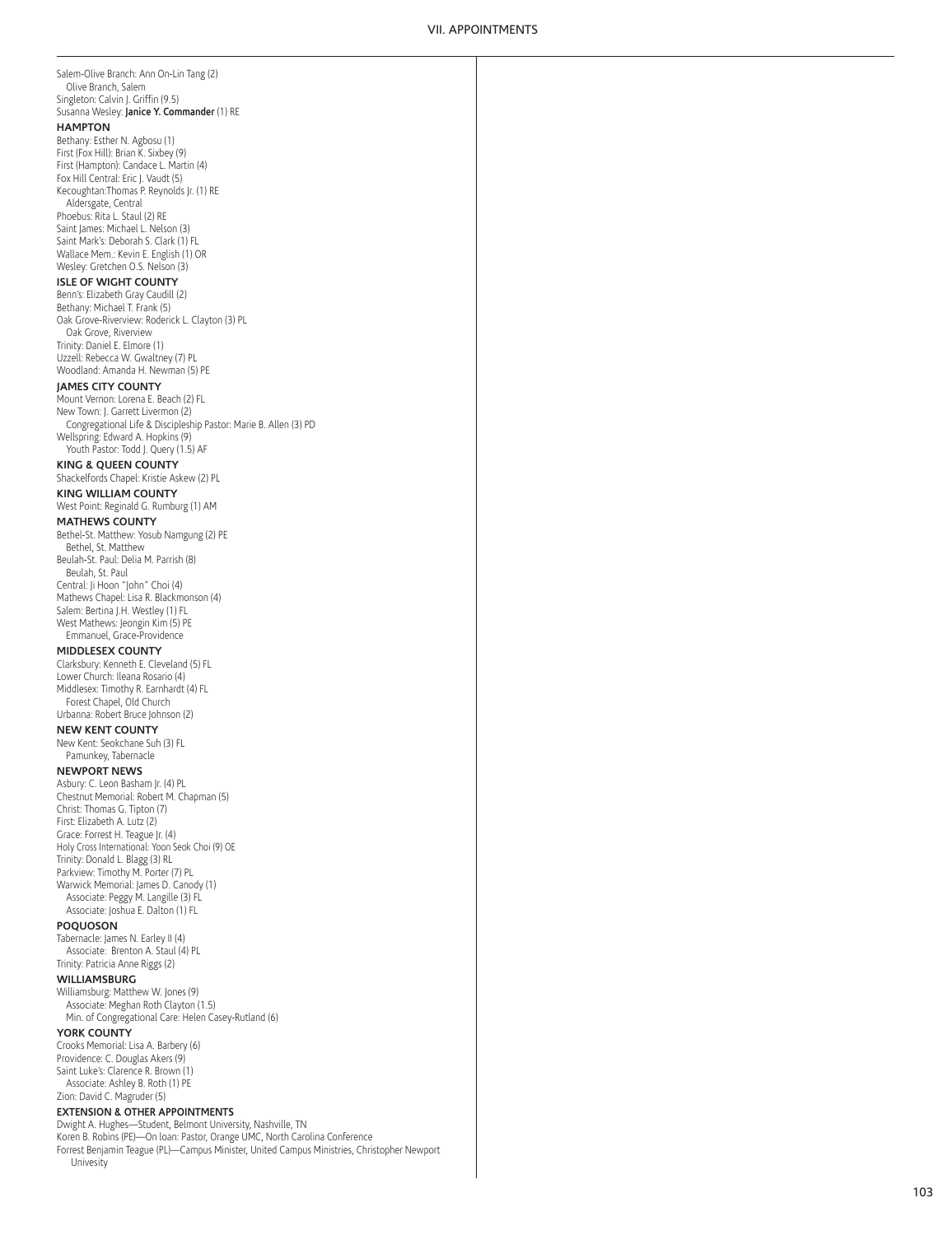Salem-Olive Branch: Ann On-Lin Tang (2) Olive Branch, Salem Singleton: Calvin J. Griffin (9.5) Susanna Wesley: **Janice Y. Commander** (1) RE **HAMPTON** Bethany: Esther N. Agbosu (1) First (Fox Hill): Brian K. Sixbey (9) First (Hampton): Candace L. Martin (4) Fox Hill Central: Eric J. Vaudt (5) Kecoughtan:Thomas P. Reynolds Jr. (1) RE Aldersgate, Central Phoebus: Rita L. Staul (2) RE Saint James: Michael L. Nelson (3) Saint Mark's: Deborah S. Clark (1) FL Wallace Mem.: Kevin E. English (1) OR Wesley: Gretchen O.S. Nelson (3) **ISLE OF WIGHT COUNTY** Benn's: Elizabeth Gray Caudill (2) Bethany: Michael T. Frank (5) Oak Grove-Riverview: Roderick L. Clayton (3) PL Oak Grove, Riverview Trinity: Daniel E. Elmore (1) Uzzell: Rebecca W. Gwaltney (7) PL Woodland: Amanda H. Newman (5) PE **JAMES CITY COUNTY** Mount Vernon: Lorena E. Beach (2) FL New Town: J. Garrett Livermon (2) Congregational Life & Discipleship Pastor: Marie B. Allen (3) PD Wellspring: Edward A. Hopkins (9) Youth Pastor: Todd J. Query (1.5) AF **KING & QUEEN COUNTY** Shackelfords Chapel: Kristie Askew (2) PL **KING WILLIAM COUNTY** West Point: Reginald G. Rumburg (1) AM **MATHEWS COUNTY** Bethel-St. Matthew: Yosub Namgung (2) PE Bethel, St. Matthew Beulah-St. Paul: Delia M. Parrish (8) Beulah, St. Paul Central: Ji Hoon "John" Choi (4) Mathews Chapel: Lisa R. Blackmonson (4) Salem: Bertina J.H. Westley (1) FL West Mathews: Jeongin Kim (5) PE Emmanuel, Grace-Providence **MIDDLESEX COUNTY** Clarksbury: Kenneth E. Cleveland (5) FL Lower Church: Ileana Rosario (4) Middlesex: Timothy R. Earnhardt (4) FL Forest Chapel, Old Church Urbanna: Robert Bruce Johnson (2) **NEW KENT COUNTY** New Kent: Seokchane Suh (3) FL Pamunkey, Tabernacle **NEWPORT NEWS** Asbury: C. Leon Basham Jr. (4) PL Chestnut Memorial: Robert M. Chapman (5) Christ: Thomas G. Tipton (7) First: Elizabeth A. Lutz (2) Grace: Forrest H. Teague Jr. (4) Holy Cross International: Yoon Seok Choi (9) OE Trinity: Donald L. Blagg (3) RL Parkview: Timothy M. Porter (7) PL Warwick Memorial: James D. Canody (1) Associate: Peggy M. Langille (3) FL Associate: Joshua E. Dalton (1) FL **POQUOSON** Tabernacle: James N. Earley II (4) Associate: Brenton A. Staul (4) PL Trinity: Patricia Anne Riggs (2) **WILLIAMSBURG** Williamsburg: Matthew W. Jones (9) Associate: Meghan Roth Clayton (1.5) Min. of Congregational Care: Helen Casey-Rutland (6) **YORK COUNTY** Crooks Memorial: Lisa A. Barbery (6) Providence: C. Douglas Akers (9) Saint Luke's: Clarence R. Brown (1) Associate: Ashley B. Roth (1) PE Zion: David C. Magruder (5) **EXTENSION & OTHER APPOINTMENTS** Dwight A. Hughes—Student, Belmont University, Nashville, TN

Koren B. Robins (PE)—On loan: Pastor, Orange UMC, North Carolina Conference Forrest Benjamin Teague (PL)—Campus Minister, United Campus Ministries, Christopher Newport Univesity